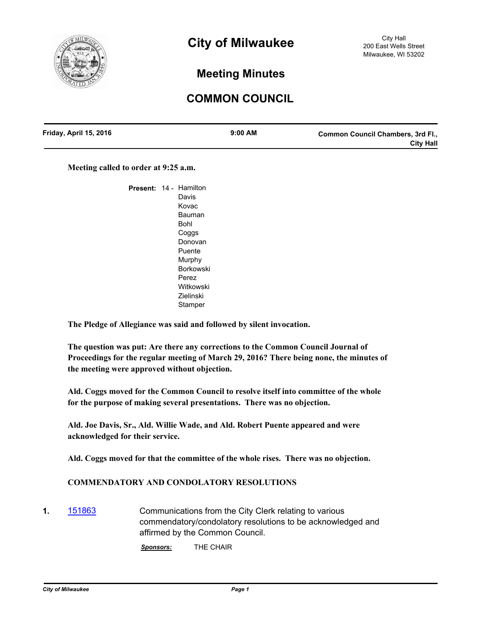

# **Meeting Minutes**

# **COMMON COUNCIL**

| Friday, April 15, 2016 | $9:00$ AM | <b>Common Council Chambers, 3rd Fl.,</b> |
|------------------------|-----------|------------------------------------------|
|                        |           | <b>City Hall</b>                         |

**Meeting called to order at 9:25 a.m.**

| <b>Present:</b> | 14 - | Hamilton         |
|-----------------|------|------------------|
|                 |      | Davis            |
|                 |      | Kovac            |
|                 |      | Bauman           |
|                 |      | Bohl             |
|                 |      | Coggs            |
|                 |      | Donovan          |
|                 |      | Puente           |
|                 |      | Murphy           |
|                 |      | Borkowski        |
|                 |      | Perez            |
|                 |      | Witkowski        |
|                 |      | <b>Zielinski</b> |
|                 |      | Stamper          |

**The Pledge of Allegiance was said and followed by silent invocation.**

**The question was put: Are there any corrections to the Common Council Journal of Proceedings for the regular meeting of March 29, 2016? There being none, the minutes of the meeting were approved without objection.**

**Ald. Coggs moved for the Common Council to resolve itself into committee of the whole for the purpose of making several presentations. There was no objection.**

**Ald. Joe Davis, Sr., Ald. Willie Wade, and Ald. Robert Puente appeared and were acknowledged for their service.**

**Ald. Coggs moved for that the committee of the whole rises. There was no objection.**

## **COMMENDATORY AND CONDOLATORY RESOLUTIONS**

**1.** [151863](http://milwaukee.legistar.com/gateway.aspx?m=l&id=/matter.aspx?key=43590) Communications from the City Clerk relating to various commendatory/condolatory resolutions to be acknowledged and affirmed by the Common Council.

*Sponsors:* THE CHAIR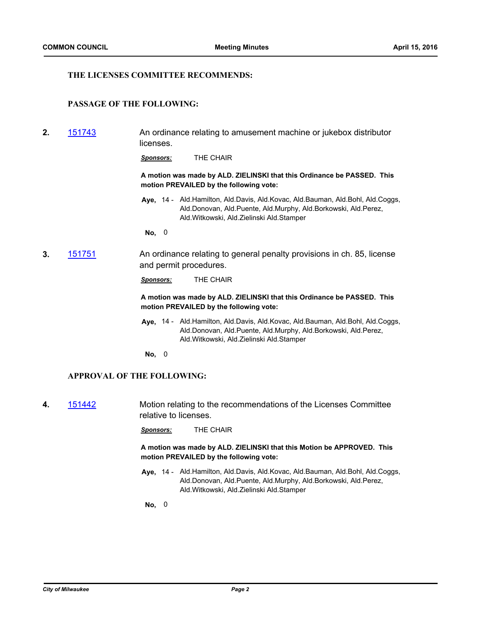## **THE LICENSES COMMITTEE RECOMMENDS:**

## **PASSAGE OF THE FOLLOWING:**

**2.** [151743](http://milwaukee.legistar.com/gateway.aspx?m=l&id=/matter.aspx?key=43454) An ordinance relating to amusement machine or jukebox distributor licenses.

*Sponsors:* THE CHAIR

**A motion was made by ALD. ZIELINSKI that this Ordinance be PASSED. This motion PREVAILED by the following vote:**

Aye, 14 - Ald.Hamilton, Ald.Davis, Ald.Kovac, Ald.Bauman, Ald.Bohl, Ald.Coggs, Ald.Donovan, Ald.Puente, Ald.Murphy, Ald.Borkowski, Ald.Perez, Ald.Witkowski, Ald.Zielinski Ald.Stamper

**No,** 0

**3.** [151751](http://milwaukee.legistar.com/gateway.aspx?m=l&id=/matter.aspx?key=43463) An ordinance relating to general penalty provisions in ch. 85, license and permit procedures.

*Sponsors:* THE CHAIR

**A motion was made by ALD. ZIELINSKI that this Ordinance be PASSED. This motion PREVAILED by the following vote:**

**Aye,** Ald.Hamilton, Ald.Davis, Ald.Kovac, Ald.Bauman, Ald.Bohl, Ald.Coggs, 14 - Ald.Donovan, Ald.Puente, Ald.Murphy, Ald.Borkowski, Ald.Perez, Ald.Witkowski, Ald.Zielinski Ald.Stamper

**No,** 0

#### **APPROVAL OF THE FOLLOWING:**

**4.** [151442](http://milwaukee.legistar.com/gateway.aspx?m=l&id=/matter.aspx?key=43072) Motion relating to the recommendations of the Licenses Committee relative to licenses.

*Sponsors:* THE CHAIR

**A motion was made by ALD. ZIELINSKI that this Motion be APPROVED. This motion PREVAILED by the following vote:**

Aye, 14 - Ald.Hamilton, Ald.Davis, Ald.Kovac, Ald.Bauman, Ald.Bohl, Ald.Coggs, Ald.Donovan, Ald.Puente, Ald.Murphy, Ald.Borkowski, Ald.Perez, Ald.Witkowski, Ald.Zielinski Ald.Stamper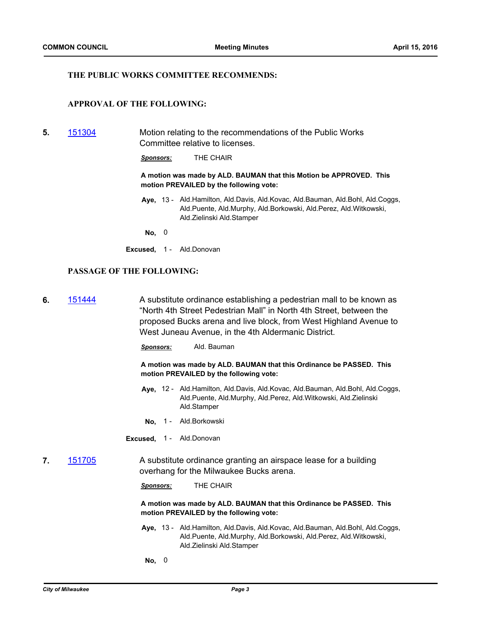## **THE PUBLIC WORKS COMMITTEE RECOMMENDS:**

## **APPROVAL OF THE FOLLOWING:**

**5.** [151304](http://milwaukee.legistar.com/gateway.aspx?m=l&id=/matter.aspx?key=42903) Motion relating to the recommendations of the Public Works Committee relative to licenses.

*Sponsors:* THE CHAIR

**A motion was made by ALD. BAUMAN that this Motion be APPROVED. This motion PREVAILED by the following vote:**

- Aye, 13 Ald.Hamilton, Ald.Davis, Ald.Kovac, Ald.Bauman, Ald.Bohl, Ald.Coggs, Ald.Puente, Ald.Murphy, Ald.Borkowski, Ald.Perez, Ald.Witkowski, Ald.Zielinski Ald.Stamper
- **No,** 0
- **Excused,** 1 Ald.Donovan

## **PASSAGE OF THE FOLLOWING:**

**6.** [151444](http://milwaukee.legistar.com/gateway.aspx?m=l&id=/matter.aspx?key=43074) A substitute ordinance establishing a pedestrian mall to be known as "North 4th Street Pedestrian Mall" in North 4th Street, between the proposed Bucks arena and live block, from West Highland Avenue to West Juneau Avenue, in the 4th Aldermanic District.

*Sponsors:* Ald. Bauman

**A motion was made by ALD. BAUMAN that this Ordinance be PASSED. This motion PREVAILED by the following vote:**

- Aye, 12 Ald.Hamilton, Ald.Davis, Ald.Kovac, Ald.Bauman, Ald.Bohl, Ald.Coggs, Ald.Puente, Ald.Murphy, Ald.Perez, Ald.Witkowski, Ald.Zielinski Ald.Stamper
- **No,** 1 Ald.Borkowski
- **Excused,** 1 Ald.Donovan
- **7.** [151705](http://milwaukee.legistar.com/gateway.aspx?m=l&id=/matter.aspx?key=43402) A substitute ordinance granting an airspace lease for a building overhang for the Milwaukee Bucks arena.

*Sponsors:* THE CHAIR

**A motion was made by ALD. BAUMAN that this Ordinance be PASSED. This motion PREVAILED by the following vote:**

- Aye, 13 Ald.Hamilton, Ald.Davis, Ald.Kovac, Ald.Bauman, Ald.Bohl, Ald.Coggs, Ald.Puente, Ald.Murphy, Ald.Borkowski, Ald.Perez, Ald.Witkowski, Ald.Zielinski Ald.Stamper
- **No,** 0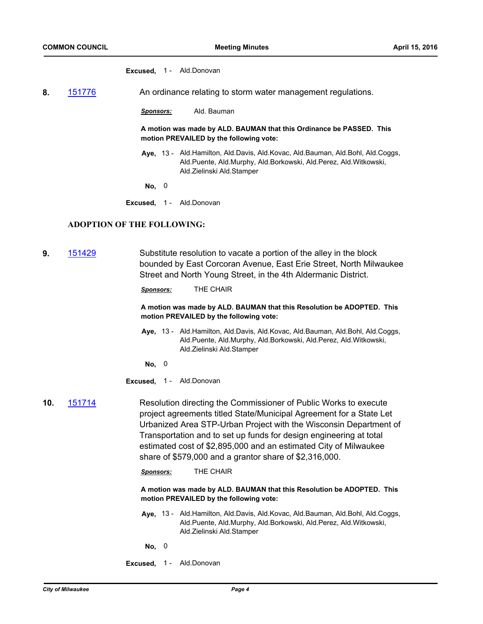#### **Excused,** 1 - Ald.Donovan

- **8.** [151776](http://milwaukee.legistar.com/gateway.aspx?m=l&id=/matter.aspx?key=43488) An ordinance relating to storm water management regulations.
	- *Sponsors:* Ald. Bauman

**A motion was made by ALD. BAUMAN that this Ordinance be PASSED. This motion PREVAILED by the following vote:**

- **Aye,** Ald.Hamilton, Ald.Davis, Ald.Kovac, Ald.Bauman, Ald.Bohl, Ald.Coggs, 13 Ald.Puente, Ald.Murphy, Ald.Borkowski, Ald.Perez, Ald.Witkowski, Ald.Zielinski Ald.Stamper
- **No,** 0
- **Excused,** 1 Ald.Donovan

#### **ADOPTION OF THE FOLLOWING:**

**9.** [151429](http://milwaukee.legistar.com/gateway.aspx?m=l&id=/matter.aspx?key=43059) Substitute resolution to vacate a portion of the alley in the block bounded by East Corcoran Avenue, East Erie Street, North Milwaukee Street and North Young Street, in the 4th Aldermanic District.

*Sponsors:* THE CHAIR

#### **A motion was made by ALD. BAUMAN that this Resolution be ADOPTED. This motion PREVAILED by the following vote:**

- **Aye,** Ald.Hamilton, Ald.Davis, Ald.Kovac, Ald.Bauman, Ald.Bohl, Ald.Coggs, 13 Ald.Puente, Ald.Murphy, Ald.Borkowski, Ald.Perez, Ald.Witkowski, Ald.Zielinski Ald.Stamper
	- **No,** 0
- **Excused,** 1 Ald.Donovan
- **10.** [151714](http://milwaukee.legistar.com/gateway.aspx?m=l&id=/matter.aspx?key=43413) Resolution directing the Commissioner of Public Works to execute project agreements titled State/Municipal Agreement for a State Let Urbanized Area STP-Urban Project with the Wisconsin Department of Transportation and to set up funds for design engineering at total estimated cost of \$2,895,000 and an estimated City of Milwaukee share of \$579,000 and a grantor share of \$2,316,000.

*Sponsors:* THE CHAIR

**A motion was made by ALD. BAUMAN that this Resolution be ADOPTED. This motion PREVAILED by the following vote:**

- **Aye,** Ald.Hamilton, Ald.Davis, Ald.Kovac, Ald.Bauman, Ald.Bohl, Ald.Coggs, 13 Ald.Puente, Ald.Murphy, Ald.Borkowski, Ald.Perez, Ald.Witkowski, Ald.Zielinski Ald.Stamper
- **No,** 0
- **Excused,** 1 Ald.Donovan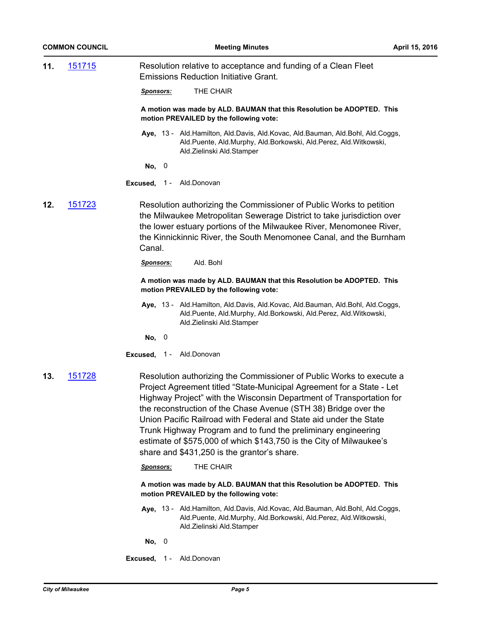**11.** [151715](http://milwaukee.legistar.com/gateway.aspx?m=l&id=/matter.aspx?key=43416) Resolution relative to acceptance and funding of a Clean Fleet Emissions Reduction Initiative Grant.

*Sponsors:* THE CHAIR

**A motion was made by ALD. BAUMAN that this Resolution be ADOPTED. This motion PREVAILED by the following vote:**

Aye, 13 - Ald.Hamilton, Ald.Davis, Ald.Kovac, Ald.Bauman, Ald.Bohl, Ald.Coggs, Ald.Puente, Ald.Murphy, Ald.Borkowski, Ald.Perez, Ald.Witkowski, Ald.Zielinski Ald.Stamper

**No,** 0

- **Excused,** 1 Ald.Donovan
- **12.** [151723](http://milwaukee.legistar.com/gateway.aspx?m=l&id=/matter.aspx?key=43427) Resolution authorizing the Commissioner of Public Works to petition the Milwaukee Metropolitan Sewerage District to take jurisdiction over the lower estuary portions of the Milwaukee River, Menomonee River, the Kinnickinnic River, the South Menomonee Canal, and the Burnham Canal.

*Sponsors:* Ald. Bohl

**A motion was made by ALD. BAUMAN that this Resolution be ADOPTED. This motion PREVAILED by the following vote:**

Aye, 13 - Ald.Hamilton, Ald.Davis, Ald.Kovac, Ald.Bauman, Ald.Bohl, Ald.Coggs, Ald.Puente, Ald.Murphy, Ald.Borkowski, Ald.Perez, Ald.Witkowski, Ald.Zielinski Ald.Stamper

**No,** 0

- **Excused,** 1 Ald.Donovan
- **13.** [151728](http://milwaukee.legistar.com/gateway.aspx?m=l&id=/matter.aspx?key=43437) Resolution authorizing the Commissioner of Public Works to execute a Project Agreement titled "State-Municipal Agreement for a State - Let Highway Project" with the Wisconsin Department of Transportation for the reconstruction of the Chase Avenue (STH 38) Bridge over the Union Pacific Railroad with Federal and State aid under the State Trunk Highway Program and to fund the preliminary engineering estimate of \$575,000 of which \$143,750 is the City of Milwaukee's share and \$431,250 is the grantor's share.

*Sponsors:* THE CHAIR

**A motion was made by ALD. BAUMAN that this Resolution be ADOPTED. This motion PREVAILED by the following vote:**

- Aye, 13 Ald.Hamilton, Ald.Davis, Ald.Kovac, Ald.Bauman, Ald.Bohl, Ald.Coggs, Ald.Puente, Ald.Murphy, Ald.Borkowski, Ald.Perez, Ald.Witkowski, Ald.Zielinski Ald.Stamper
- **No,** 0
- **Excused,** 1 Ald.Donovan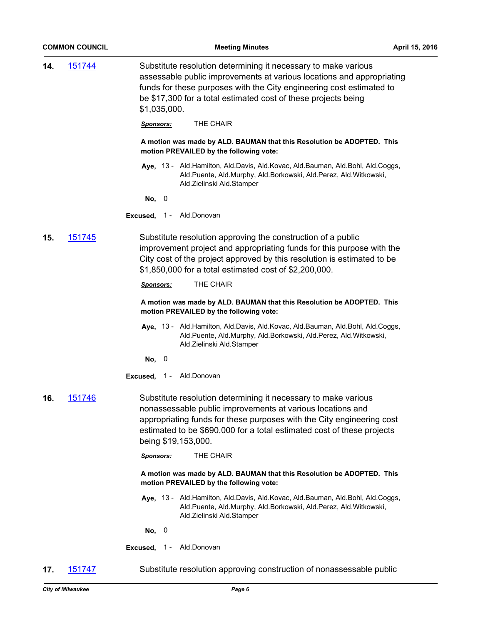|     | <b>COMMON COUNCIL</b> | <b>Meeting Minutes</b>                                                                                                                                                                                                                                                                                 | April 15, 2016 |
|-----|-----------------------|--------------------------------------------------------------------------------------------------------------------------------------------------------------------------------------------------------------------------------------------------------------------------------------------------------|----------------|
| 14. | <u>151744</u>         | Substitute resolution determining it necessary to make various<br>assessable public improvements at various locations and appropriating<br>funds for these purposes with the City engineering cost estimated to<br>be \$17,300 for a total estimated cost of these projects being<br>\$1,035,000.      |                |
|     |                       | THE CHAIR<br><u>Sponsors:</u>                                                                                                                                                                                                                                                                          |                |
|     |                       | A motion was made by ALD. BAUMAN that this Resolution be ADOPTED. This<br>motion PREVAILED by the following vote:                                                                                                                                                                                      |                |
|     |                       | Aye, 13 - Ald.Hamilton, Ald.Davis, Ald.Kovac, Ald.Bauman, Ald.Bohl, Ald.Coggs,<br>Ald.Puente, Ald.Murphy, Ald.Borkowski, Ald.Perez, Ald.Witkowski,<br>Ald.Zielinski Ald.Stamper                                                                                                                        |                |
|     |                       | No,<br>$\bf{0}$                                                                                                                                                                                                                                                                                        |                |
|     |                       | Excused, 1 - Ald.Donovan                                                                                                                                                                                                                                                                               |                |
| 15. | <u>151745</u>         | Substitute resolution approving the construction of a public<br>improvement project and appropriating funds for this purpose with the<br>City cost of the project approved by this resolution is estimated to be<br>\$1,850,000 for a total estimated cost of \$2,200,000.                             |                |
|     |                       | THE CHAIR<br><u>Sponsors:</u>                                                                                                                                                                                                                                                                          |                |
|     |                       | A motion was made by ALD. BAUMAN that this Resolution be ADOPTED. This<br>motion PREVAILED by the following vote:                                                                                                                                                                                      |                |
|     |                       | Aye, 13 - Ald.Hamilton, Ald.Davis, Ald.Kovac, Ald.Bauman, Ald.Bohl, Ald.Coggs,<br>Ald.Puente, Ald.Murphy, Ald.Borkowski, Ald.Perez, Ald.Witkowski,<br>Ald.Zielinski Ald.Stamper                                                                                                                        |                |
|     |                       | No,<br>$\overline{0}$                                                                                                                                                                                                                                                                                  |                |
|     |                       | Excused, 1 - Ald.Donovan                                                                                                                                                                                                                                                                               |                |
| 16. | <u>151746</u>         | Substitute resolution determining it necessary to make various<br>nonassessable public improvements at various locations and<br>appropriating funds for these purposes with the City engineering cost<br>estimated to be \$690,000 for a total estimated cost of these projects<br>being \$19,153,000. |                |
|     |                       | THE CHAIR<br>Sponsors:                                                                                                                                                                                                                                                                                 |                |
|     |                       | A motion was made by ALD. BAUMAN that this Resolution be ADOPTED. This<br>motion PREVAILED by the following vote:                                                                                                                                                                                      |                |
|     |                       | Aye, 13 - Ald. Hamilton, Ald. Davis, Ald. Kovac, Ald. Bauman, Ald. Bohl, Ald. Coggs,<br>Ald.Puente, Ald.Murphy, Ald.Borkowski, Ald.Perez, Ald.Witkowski,<br>Ald.Zielinski Ald.Stamper                                                                                                                  |                |
|     |                       | No, 0                                                                                                                                                                                                                                                                                                  |                |
|     |                       | Ald.Donovan<br>Excused, $1 -$                                                                                                                                                                                                                                                                          |                |
| 17. | <u>151747</u>         | Substitute resolution approving construction of nonassessable public                                                                                                                                                                                                                                   |                |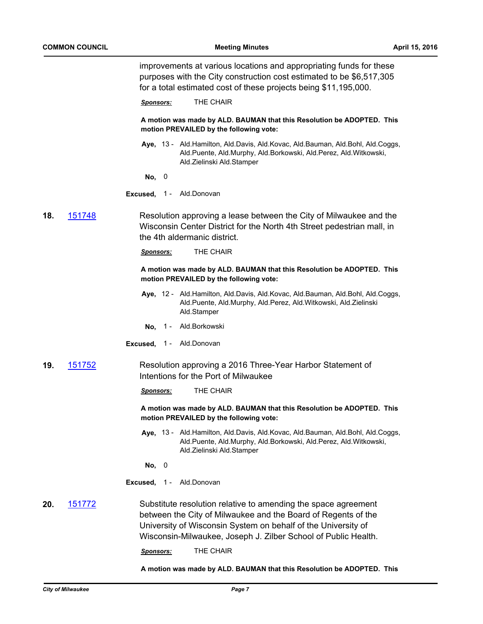improvements at various locations and appropriating funds for these purposes with the City construction cost estimated to be \$6,517,305 for a total estimated cost of these projects being \$11,195,000.

*Sponsors:* THE CHAIR

**A motion was made by ALD. BAUMAN that this Resolution be ADOPTED. This motion PREVAILED by the following vote:**

- Aye, 13 Ald.Hamilton, Ald.Davis, Ald.Kovac, Ald.Bauman, Ald.Bohl, Ald.Coggs, Ald.Puente, Ald.Murphy, Ald.Borkowski, Ald.Perez, Ald.Witkowski, Ald.Zielinski Ald.Stamper
- **No,** 0
- **Excused,** 1 Ald.Donovan
- **18.** [151748](http://milwaukee.legistar.com/gateway.aspx?m=l&id=/matter.aspx?key=43460) Resolution approving a lease between the City of Milwaukee and the Wisconsin Center District for the North 4th Street pedestrian mall, in the 4th aldermanic district.

*Sponsors:* THE CHAIR

**A motion was made by ALD. BAUMAN that this Resolution be ADOPTED. This motion PREVAILED by the following vote:**

- **Aye,** Ald.Hamilton, Ald.Davis, Ald.Kovac, Ald.Bauman, Ald.Bohl, Ald.Coggs, 12 Ald.Puente, Ald.Murphy, Ald.Perez, Ald.Witkowski, Ald.Zielinski Ald.Stamper
- **No,** 1 Ald.Borkowski
- **Excused,** 1 Ald.Donovan
- **19.** [151752](http://milwaukee.legistar.com/gateway.aspx?m=l&id=/matter.aspx?key=43464) Resolution approving a 2016 Three-Year Harbor Statement of Intentions for the Port of Milwaukee

*Sponsors:* THE CHAIR

**A motion was made by ALD. BAUMAN that this Resolution be ADOPTED. This motion PREVAILED by the following vote:**

- Aye, 13 Ald.Hamilton, Ald.Davis, Ald.Kovac, Ald.Bauman, Ald.Bohl, Ald.Coggs, Ald.Puente, Ald.Murphy, Ald.Borkowski, Ald.Perez, Ald.Witkowski, Ald.Zielinski Ald.Stamper
- **No,** 0
- **Excused,** 1 Ald.Donovan
- **20.** [151772](http://milwaukee.legistar.com/gateway.aspx?m=l&id=/matter.aspx?key=43484) Substitute resolution relative to amending the space agreement between the City of Milwaukee and the Board of Regents of the University of Wisconsin System on behalf of the University of Wisconsin-Milwaukee, Joseph J. Zilber School of Public Health.

*Sponsors:* THE CHAIR

**A motion was made by ALD. BAUMAN that this Resolution be ADOPTED. This**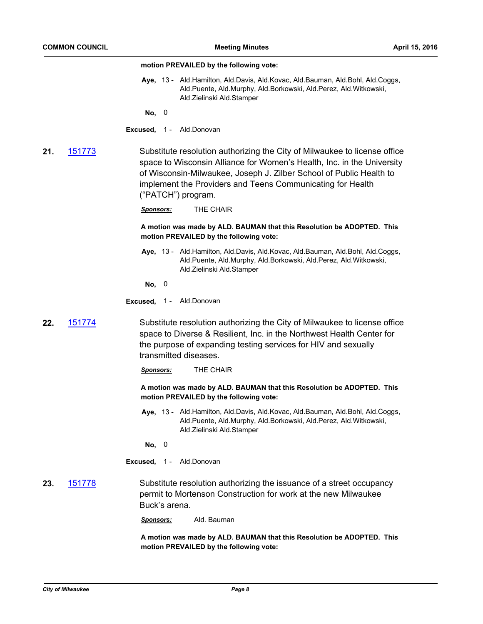#### **motion PREVAILED by the following vote:**

Aye, 13 - Ald.Hamilton, Ald.Davis, Ald.Kovac, Ald.Bauman, Ald.Bohl, Ald.Coggs, Ald.Puente, Ald.Murphy, Ald.Borkowski, Ald.Perez, Ald.Witkowski, Ald.Zielinski Ald.Stamper

**No,** 0

## **Excused,** 1 - Ald.Donovan

**21.** [151773](http://milwaukee.legistar.com/gateway.aspx?m=l&id=/matter.aspx?key=43485) Substitute resolution authorizing the City of Milwaukee to license office space to Wisconsin Alliance for Women's Health, Inc. in the University of Wisconsin-Milwaukee, Joseph J. Zilber School of Public Health to implement the Providers and Teens Communicating for Health ("PATCH") program.

*Sponsors:* THE CHAIR

**A motion was made by ALD. BAUMAN that this Resolution be ADOPTED. This motion PREVAILED by the following vote:**

- Aye, 13 Ald.Hamilton, Ald.Davis, Ald.Kovac, Ald.Bauman, Ald.Bohl, Ald.Coggs, Ald.Puente, Ald.Murphy, Ald.Borkowski, Ald.Perez, Ald.Witkowski, Ald.Zielinski Ald.Stamper
- **No,** 0
- **Excused,** 1 Ald.Donovan
- **22.** [151774](http://milwaukee.legistar.com/gateway.aspx?m=l&id=/matter.aspx?key=43486) Substitute resolution authorizing the City of Milwaukee to license office space to Diverse & Resilient, Inc. in the Northwest Health Center for the purpose of expanding testing services for HIV and sexually transmitted diseases.
	- *Sponsors:* THE CHAIR

**A motion was made by ALD. BAUMAN that this Resolution be ADOPTED. This motion PREVAILED by the following vote:**

Aye, 13 - Ald.Hamilton, Ald.Davis, Ald.Kovac, Ald.Bauman, Ald.Bohl, Ald.Coggs, Ald.Puente, Ald.Murphy, Ald.Borkowski, Ald.Perez, Ald.Witkowski, Ald.Zielinski Ald.Stamper

**No,** 0

**Excused,** 1 - Ald.Donovan

- **23.** [151778](http://milwaukee.legistar.com/gateway.aspx?m=l&id=/matter.aspx?key=43490) Substitute resolution authorizing the issuance of a street occupancy permit to Mortenson Construction for work at the new Milwaukee Buck's arena.
	- *Sponsors:* Ald. Bauman

**A motion was made by ALD. BAUMAN that this Resolution be ADOPTED. This motion PREVAILED by the following vote:**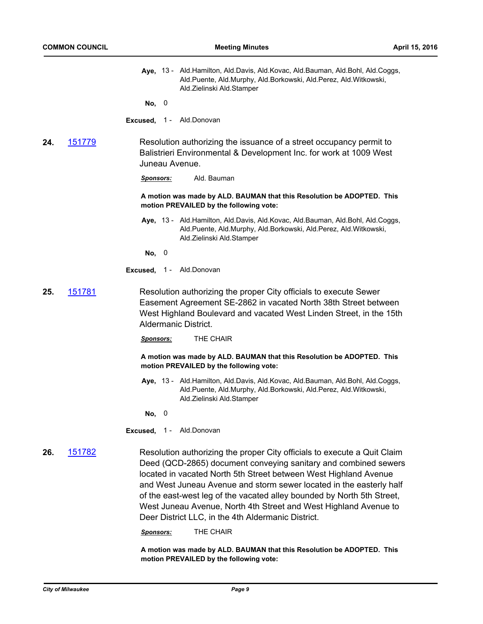Aye, 13 - Ald.Hamilton, Ald.Davis, Ald.Kovac, Ald.Bauman, Ald.Bohl, Ald.Coggs, Ald.Puente, Ald.Murphy, Ald.Borkowski, Ald.Perez, Ald.Witkowski, Ald.Zielinski Ald.Stamper

**No,** 0

- **Excused,** 1 Ald.Donovan
- **24.** [151779](http://milwaukee.legistar.com/gateway.aspx?m=l&id=/matter.aspx?key=43491) Resolution authorizing the issuance of a street occupancy permit to Balistrieri Environmental & Development Inc. for work at 1009 West Juneau Avenue.

*Sponsors:* Ald. Bauman

**A motion was made by ALD. BAUMAN that this Resolution be ADOPTED. This motion PREVAILED by the following vote:**

**Aye,** Ald.Hamilton, Ald.Davis, Ald.Kovac, Ald.Bauman, Ald.Bohl, Ald.Coggs, 13 - Ald.Puente, Ald.Murphy, Ald.Borkowski, Ald.Perez, Ald.Witkowski, Ald.Zielinski Ald.Stamper

**No,** 0

**Excused,** 1 - Ald.Donovan

**25.** [151781](http://milwaukee.legistar.com/gateway.aspx?m=l&id=/matter.aspx?key=43493) Resolution authorizing the proper City officials to execute Sewer Easement Agreement SE-2862 in vacated North 38th Street between West Highland Boulevard and vacated West Linden Street, in the 15th Aldermanic District.

*Sponsors:* THE CHAIR

**A motion was made by ALD. BAUMAN that this Resolution be ADOPTED. This motion PREVAILED by the following vote:**

Aye, 13 - Ald.Hamilton, Ald.Davis, Ald.Kovac, Ald.Bauman, Ald.Bohl, Ald.Coggs, Ald.Puente, Ald.Murphy, Ald.Borkowski, Ald.Perez, Ald.Witkowski, Ald.Zielinski Ald.Stamper

**No,** 0

**Excused,** 1 - Ald.Donovan

**26.** [151782](http://milwaukee.legistar.com/gateway.aspx?m=l&id=/matter.aspx?key=43494) Resolution authorizing the proper City officials to execute a Quit Claim Deed (QCD-2865) document conveying sanitary and combined sewers located in vacated North 5th Street between West Highland Avenue and West Juneau Avenue and storm sewer located in the easterly half of the east-west leg of the vacated alley bounded by North 5th Street, West Juneau Avenue, North 4th Street and West Highland Avenue to Deer District LLC, in the 4th Aldermanic District.

*Sponsors:* THE CHAIR

**A motion was made by ALD. BAUMAN that this Resolution be ADOPTED. This motion PREVAILED by the following vote:**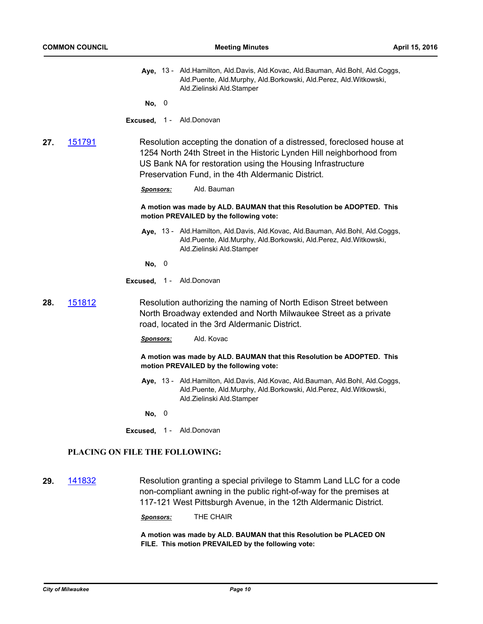Aye, 13 - Ald.Hamilton, Ald.Davis, Ald.Kovac, Ald.Bauman, Ald.Bohl, Ald.Coggs, Ald.Puente, Ald.Murphy, Ald.Borkowski, Ald.Perez, Ald.Witkowski, Ald.Zielinski Ald.Stamper

**No,** 0

- **Excused,** 1 Ald.Donovan
- **27.** [151791](http://milwaukee.legistar.com/gateway.aspx?m=l&id=/matter.aspx?key=43503) Resolution accepting the donation of a distressed, foreclosed house at 1254 North 24th Street in the Historic Lynden Hill neighborhood from US Bank NA for restoration using the Housing Infrastructure Preservation Fund, in the 4th Aldermanic District.
	- *Sponsors:* Ald. Bauman

**A motion was made by ALD. BAUMAN that this Resolution be ADOPTED. This motion PREVAILED by the following vote:**

- **Aye,** Ald.Hamilton, Ald.Davis, Ald.Kovac, Ald.Bauman, Ald.Bohl, Ald.Coggs, 13 Ald.Puente, Ald.Murphy, Ald.Borkowski, Ald.Perez, Ald.Witkowski, Ald.Zielinski Ald.Stamper
- **No,** 0
- **Excused,** 1 Ald.Donovan
- **28.** [151812](http://milwaukee.legistar.com/gateway.aspx?m=l&id=/matter.aspx?key=43529) Resolution authorizing the naming of North Edison Street between North Broadway extended and North Milwaukee Street as a private road, located in the 3rd Aldermanic District.
	- *Sponsors:* Ald. Kovac

**A motion was made by ALD. BAUMAN that this Resolution be ADOPTED. This motion PREVAILED by the following vote:**

Aye, 13 - Ald.Hamilton, Ald.Davis, Ald.Kovac, Ald.Bauman, Ald.Bohl, Ald.Coggs, Ald.Puente, Ald.Murphy, Ald.Borkowski, Ald.Perez, Ald.Witkowski, Ald.Zielinski Ald.Stamper

**No,** 0

**Excused,** 1 - Ald.Donovan

## **PLACING ON FILE THE FOLLOWING:**

**29.** [141832](http://milwaukee.legistar.com/gateway.aspx?m=l&id=/matter.aspx?key=41284) Resolution granting a special privilege to Stamm Land LLC for a code non-compliant awning in the public right-of-way for the premises at 117-121 West Pittsburgh Avenue, in the 12th Aldermanic District.

*Sponsors:* THE CHAIR

**A motion was made by ALD. BAUMAN that this Resolution be PLACED ON FILE. This motion PREVAILED by the following vote:**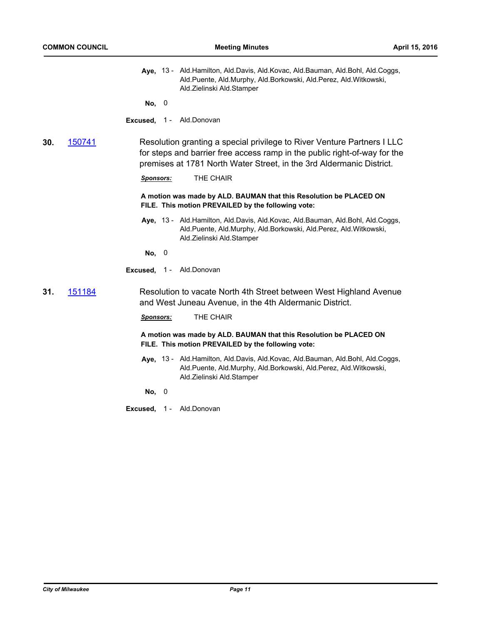Aye, 13 - Ald.Hamilton, Ald.Davis, Ald.Kovac, Ald.Bauman, Ald.Bohl, Ald.Coggs, Ald.Puente, Ald.Murphy, Ald.Borkowski, Ald.Perez, Ald.Witkowski, Ald.Zielinski Ald.Stamper

**No,** 0

**Excused,** 1 - Ald.Donovan

**30.** [150741](http://milwaukee.legistar.com/gateway.aspx?m=l&id=/matter.aspx?key=42266) Resolution granting a special privilege to River Venture Partners I LLC for steps and barrier free access ramp in the public right-of-way for the premises at 1781 North Water Street, in the 3rd Aldermanic District.

*Sponsors:* THE CHAIR

**A motion was made by ALD. BAUMAN that this Resolution be PLACED ON FILE. This motion PREVAILED by the following vote:**

**Aye,** Ald.Hamilton, Ald.Davis, Ald.Kovac, Ald.Bauman, Ald.Bohl, Ald.Coggs, 13 - Ald.Puente, Ald.Murphy, Ald.Borkowski, Ald.Perez, Ald.Witkowski, Ald.Zielinski Ald.Stamper

**No,** 0

**Excused,** 1 - Ald.Donovan

## **31.** [151184](http://milwaukee.legistar.com/gateway.aspx?m=l&id=/matter.aspx?key=42755) Resolution to vacate North 4th Street between West Highland Avenue and West Juneau Avenue, in the 4th Aldermanic District.

*Sponsors:* THE CHAIR

**A motion was made by ALD. BAUMAN that this Resolution be PLACED ON FILE. This motion PREVAILED by the following vote:**

Aye, 13 - Ald.Hamilton, Ald.Davis, Ald.Kovac, Ald.Bauman, Ald.Bohl, Ald.Coggs, Ald.Puente, Ald.Murphy, Ald.Borkowski, Ald.Perez, Ald.Witkowski, Ald.Zielinski Ald.Stamper

**No,** 0

**Excused,** 1 - Ald.Donovan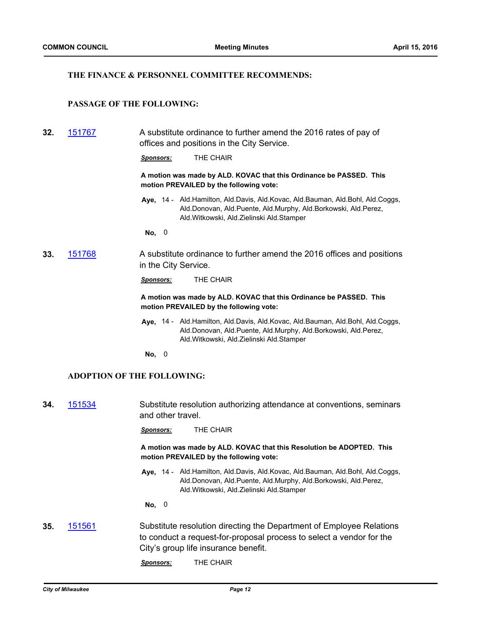## **THE FINANCE & PERSONNEL COMMITTEE RECOMMENDS:**

## **PASSAGE OF THE FOLLOWING:**

**32.** [151767](http://milwaukee.legistar.com/gateway.aspx?m=l&id=/matter.aspx?key=43479) A substitute ordinance to further amend the 2016 rates of pay of offices and positions in the City Service.

*Sponsors:* THE CHAIR

**A motion was made by ALD. KOVAC that this Ordinance be PASSED. This motion PREVAILED by the following vote:**

Aye, 14 - Ald.Hamilton, Ald.Davis, Ald.Kovac, Ald.Bauman, Ald.Bohl, Ald.Coggs, Ald.Donovan, Ald.Puente, Ald.Murphy, Ald.Borkowski, Ald.Perez, Ald.Witkowski, Ald.Zielinski Ald.Stamper

**No,** 0

**33.** [151768](http://milwaukee.legistar.com/gateway.aspx?m=l&id=/matter.aspx?key=43480) A substitute ordinance to further amend the 2016 offices and positions in the City Service.

*Sponsors:* THE CHAIR

**A motion was made by ALD. KOVAC that this Ordinance be PASSED. This motion PREVAILED by the following vote:**

**Aye,** Ald.Hamilton, Ald.Davis, Ald.Kovac, Ald.Bauman, Ald.Bohl, Ald.Coggs, 14 - Ald.Donovan, Ald.Puente, Ald.Murphy, Ald.Borkowski, Ald.Perez, Ald.Witkowski, Ald.Zielinski Ald.Stamper

**No,** 0

#### **ADOPTION OF THE FOLLOWING:**

**34.** [151534](http://milwaukee.legistar.com/gateway.aspx?m=l&id=/matter.aspx?key=43173) Substitute resolution authorizing attendance at conventions, seminars and other travel.

*Sponsors:* THE CHAIR

**A motion was made by ALD. KOVAC that this Resolution be ADOPTED. This motion PREVAILED by the following vote:**

Aye, 14 - Ald.Hamilton, Ald.Davis, Ald.Kovac, Ald.Bauman, Ald.Bohl, Ald.Coggs, Ald.Donovan, Ald.Puente, Ald.Murphy, Ald.Borkowski, Ald.Perez, Ald.Witkowski, Ald.Zielinski Ald.Stamper

**No,** 0

**35.** [151561](http://milwaukee.legistar.com/gateway.aspx?m=l&id=/matter.aspx?key=43201) Substitute resolution directing the Department of Employee Relations to conduct a request-for-proposal process to select a vendor for the City's group life insurance benefit.

*Sponsors:* THE CHAIR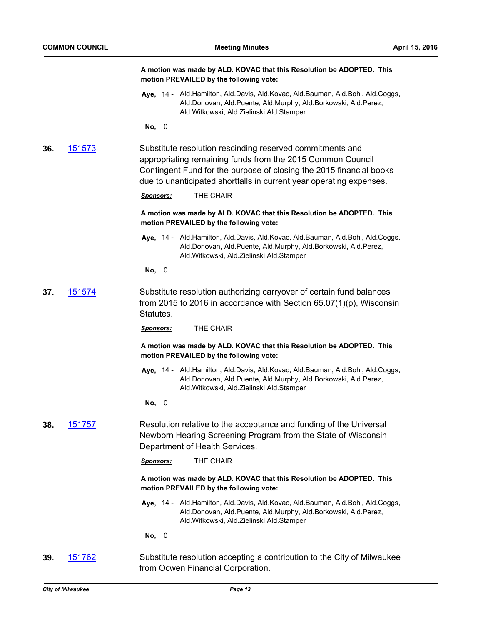|     |                | A motion was made by ALD. KOVAC that this Resolution be ADOPTED. This<br>motion PREVAILED by the following vote:                                                                                                                                                      |
|-----|----------------|-----------------------------------------------------------------------------------------------------------------------------------------------------------------------------------------------------------------------------------------------------------------------|
|     |                | Aye, 14 - Ald.Hamilton, Ald.Davis, Ald.Kovac, Ald.Bauman, Ald.Bohl, Ald.Coggs,<br>Ald.Donovan, Ald.Puente, Ald.Murphy, Ald.Borkowski, Ald.Perez,<br>Ald. Witkowski, Ald. Zielinski Ald. Stamper                                                                       |
|     |                | No, 0                                                                                                                                                                                                                                                                 |
| 36. | <u> 151573</u> | Substitute resolution rescinding reserved commitments and<br>appropriating remaining funds from the 2015 Common Council<br>Contingent Fund for the purpose of closing the 2015 financial books<br>due to unanticipated shortfalls in current year operating expenses. |
|     |                | THE CHAIR<br><b>Sponsors:</b>                                                                                                                                                                                                                                         |
|     |                | A motion was made by ALD. KOVAC that this Resolution be ADOPTED. This<br>motion PREVAILED by the following vote:                                                                                                                                                      |
|     |                | Aye, 14 - Ald.Hamilton, Ald.Davis, Ald.Kovac, Ald.Bauman, Ald.Bohl, Ald.Coggs,<br>Ald.Donovan, Ald.Puente, Ald.Murphy, Ald.Borkowski, Ald.Perez,<br>Ald. Witkowski, Ald. Zielinski Ald. Stamper                                                                       |
|     |                | No, 0                                                                                                                                                                                                                                                                 |
| 37. | <u>151574</u>  | Substitute resolution authorizing carryover of certain fund balances<br>from 2015 to 2016 in accordance with Section $65.07(1)(p)$ , Wisconsin<br>Statutes.                                                                                                           |
|     |                | THE CHAIR<br><b>Sponsors:</b>                                                                                                                                                                                                                                         |
|     |                | A motion was made by ALD. KOVAC that this Resolution be ADOPTED. This<br>motion PREVAILED by the following vote:                                                                                                                                                      |
|     |                | Aye, 14 - Ald.Hamilton, Ald.Davis, Ald.Kovac, Ald.Bauman, Ald.Bohl, Ald.Coggs,<br>Ald.Donovan, Ald.Puente, Ald.Murphy, Ald.Borkowski, Ald.Perez,<br>Ald. Witkowski, Ald. Zielinski Ald. Stamper                                                                       |
|     |                | No, 0                                                                                                                                                                                                                                                                 |
| 38. | <u> 151757</u> | Resolution relative to the acceptance and funding of the Universal<br>Newborn Hearing Screening Program from the State of Wisconsin<br>Department of Health Services.                                                                                                 |
|     |                | THE CHAIR<br><b>Sponsors:</b>                                                                                                                                                                                                                                         |
|     |                | A motion was made by ALD. KOVAC that this Resolution be ADOPTED. This<br>motion PREVAILED by the following vote:                                                                                                                                                      |
|     |                | Aye, 14 - Ald.Hamilton, Ald.Davis, Ald.Kovac, Ald.Bauman, Ald.Bohl, Ald.Coggs,<br>Ald.Donovan, Ald.Puente, Ald.Murphy, Ald.Borkowski, Ald.Perez,<br>Ald. Witkowski, Ald. Zielinski Ald. Stamper                                                                       |
|     |                | No, 0                                                                                                                                                                                                                                                                 |
| 39. | <u>151762</u>  | Substitute resolution accepting a contribution to the City of Milwaukee<br>from Ocwen Financial Corporation.                                                                                                                                                          |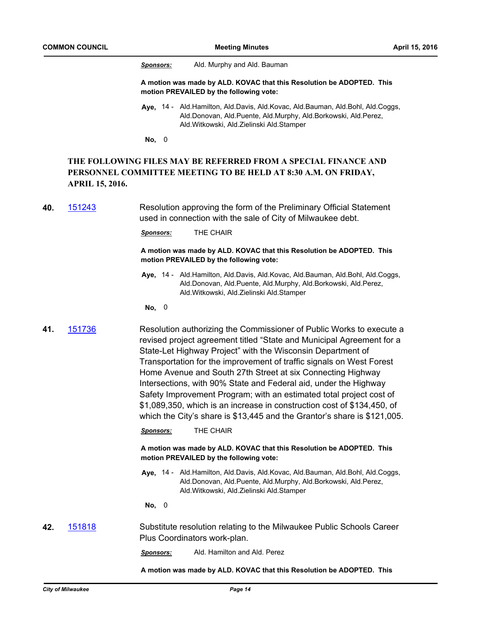*Sponsors:* Ald. Murphy and Ald. Bauman

**A motion was made by ALD. KOVAC that this Resolution be ADOPTED. This motion PREVAILED by the following vote:**

**Aye,** Ald.Hamilton, Ald.Davis, Ald.Kovac, Ald.Bauman, Ald.Bohl, Ald.Coggs, 14 - Ald.Donovan, Ald.Puente, Ald.Murphy, Ald.Borkowski, Ald.Perez, Ald.Witkowski, Ald.Zielinski Ald.Stamper

**No,** 0

## **THE FOLLOWING FILES MAY BE REFERRED FROM A SPECIAL FINANCE AND PERSONNEL COMMITTEE MEETING TO BE HELD AT 8:30 A.M. ON FRIDAY, APRIL 15, 2016.**

**40.** [151243](http://milwaukee.legistar.com/gateway.aspx?m=l&id=/matter.aspx?key=42836) Resolution approving the form of the Preliminary Official Statement used in connection with the sale of City of Milwaukee debt.

*Sponsors:* THE CHAIR

**A motion was made by ALD. KOVAC that this Resolution be ADOPTED. This motion PREVAILED by the following vote:**

- Aye, 14 Ald.Hamilton, Ald.Davis, Ald.Kovac, Ald.Bauman, Ald.Bohl, Ald.Coggs, Ald.Donovan, Ald.Puente, Ald.Murphy, Ald.Borkowski, Ald.Perez, Ald.Witkowski, Ald.Zielinski Ald.Stamper
- **No,** 0

**41.** [151736](http://milwaukee.legistar.com/gateway.aspx?m=l&id=/matter.aspx?key=43446) Resolution authorizing the Commissioner of Public Works to execute a revised project agreement titled "State and Municipal Agreement for a State-Let Highway Project" with the Wisconsin Department of Transportation for the improvement of traffic signals on West Forest Home Avenue and South 27th Street at six Connecting Highway Intersections, with 90% State and Federal aid, under the Highway Safety Improvement Program; with an estimated total project cost of \$1,089,350, which is an increase in construction cost of \$134,450, of which the City's share is \$13,445 and the Grantor's share is \$121,005.

*Sponsors:* THE CHAIR

**A motion was made by ALD. KOVAC that this Resolution be ADOPTED. This motion PREVAILED by the following vote:**

Aye, 14 - Ald.Hamilton, Ald.Davis, Ald.Kovac, Ald.Bauman, Ald.Bohl, Ald.Coggs, Ald.Donovan, Ald.Puente, Ald.Murphy, Ald.Borkowski, Ald.Perez, Ald.Witkowski, Ald.Zielinski Ald.Stamper

**No,** 0

**42.** [151818](http://milwaukee.legistar.com/gateway.aspx?m=l&id=/matter.aspx?key=43539) Substitute resolution relating to the Milwaukee Public Schools Career Plus Coordinators work-plan.

*Sponsors:* Ald. Hamilton and Ald. Perez

**A motion was made by ALD. KOVAC that this Resolution be ADOPTED. This**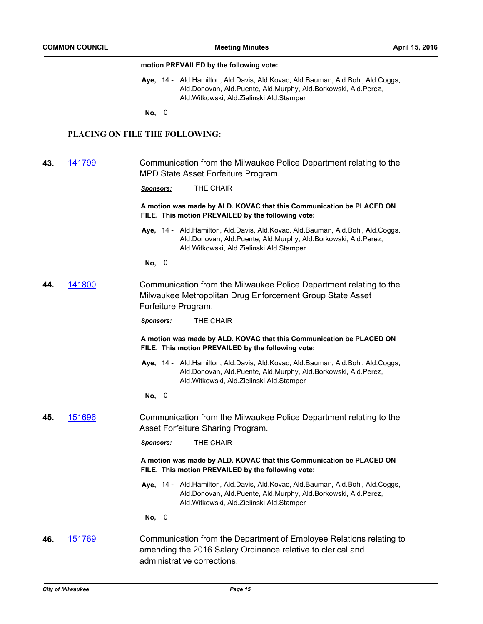#### **motion PREVAILED by the following vote:**

Aye, 14 - Ald.Hamilton, Ald.Davis, Ald.Kovac, Ald.Bauman, Ald.Bohl, Ald.Coggs, Ald.Donovan, Ald.Puente, Ald.Murphy, Ald.Borkowski, Ald.Perez, Ald.Witkowski, Ald.Zielinski Ald.Stamper

**No,** 0

## **PLACING ON FILE THE FOLLOWING:**

| 43. | 141799 | Communication from the Milwaukee Police Department relating to the |
|-----|--------|--------------------------------------------------------------------|
|     |        | MPD State Asset Forfeiture Program.                                |

*Sponsors:* THE CHAIR

**A motion was made by ALD. KOVAC that this Communication be PLACED ON FILE. This motion PREVAILED by the following vote:**

- **Aye,** Ald.Hamilton, Ald.Davis, Ald.Kovac, Ald.Bauman, Ald.Bohl, Ald.Coggs, 14 Ald.Donovan, Ald.Puente, Ald.Murphy, Ald.Borkowski, Ald.Perez, Ald.Witkowski, Ald.Zielinski Ald.Stamper
- **No,** 0
- **44.** [141800](http://milwaukee.legistar.com/gateway.aspx?m=l&id=/matter.aspx?key=41249) Communication from the Milwaukee Police Department relating to the Milwaukee Metropolitan Drug Enforcement Group State Asset Forfeiture Program.

*Sponsors:* THE CHAIR

**A motion was made by ALD. KOVAC that this Communication be PLACED ON FILE. This motion PREVAILED by the following vote:**

**Aye,** Ald.Hamilton, Ald.Davis, Ald.Kovac, Ald.Bauman, Ald.Bohl, Ald.Coggs, 14 - Ald.Donovan, Ald.Puente, Ald.Murphy, Ald.Borkowski, Ald.Perez, Ald.Witkowski, Ald.Zielinski Ald.Stamper

**No,** 0

**45.** [151696](http://milwaukee.legistar.com/gateway.aspx?m=l&id=/matter.aspx?key=43391) Communication from the Milwaukee Police Department relating to the Asset Forfeiture Sharing Program.

*Sponsors:* THE CHAIR

**A motion was made by ALD. KOVAC that this Communication be PLACED ON FILE. This motion PREVAILED by the following vote:**

**Aye,** Ald.Hamilton, Ald.Davis, Ald.Kovac, Ald.Bauman, Ald.Bohl, Ald.Coggs, 14 - Ald.Donovan, Ald.Puente, Ald.Murphy, Ald.Borkowski, Ald.Perez, Ald.Witkowski, Ald.Zielinski Ald.Stamper

**No,** 0

**46.** [151769](http://milwaukee.legistar.com/gateway.aspx?m=l&id=/matter.aspx?key=43481) Communication from the Department of Employee Relations relating to amending the 2016 Salary Ordinance relative to clerical and administrative corrections.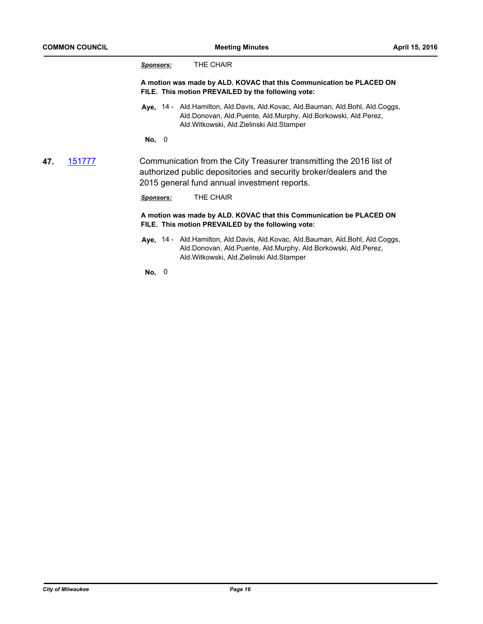|     |        | THE CHAIR<br>Sponsors:                                                                                                                                                                          |
|-----|--------|-------------------------------------------------------------------------------------------------------------------------------------------------------------------------------------------------|
|     |        | A motion was made by ALD. KOVAC that this Communication be PLACED ON<br>FILE. This motion PREVAILED by the following vote:                                                                      |
|     |        | Aye, 14 - Ald.Hamilton, Ald.Davis, Ald.Kovac, Ald.Bauman, Ald.Bohl, Ald.Coggs,<br>Ald.Donovan, Ald.Puente, Ald.Murphy, Ald.Borkowski, Ald.Perez,<br>Ald. Witkowski, Ald. Zielinski Ald. Stamper |
|     |        | No, 0                                                                                                                                                                                           |
| 47. | 151777 | Communication from the City Treasurer transmitting the 2016 list of<br>authorized public depositories and security broker/dealers and the<br>2015 general fund annual investment reports.       |
|     |        | THE CHAIR<br><b>Sponsors:</b>                                                                                                                                                                   |
|     |        | A motion was made by ALD. KOVAC that this Communication be PLACED ON<br>FILE. This motion PREVAILED by the following vote:                                                                      |
|     |        |                                                                                                                                                                                                 |

**Aye,** Ald.Hamilton, Ald.Davis, Ald.Kovac, Ald.Bauman, Ald.Bohl, Ald.Coggs, 14 - Ald.Donovan, Ald.Puente, Ald.Murphy, Ald.Borkowski, Ald.Perez, Ald.Witkowski, Ald.Zielinski Ald.Stamper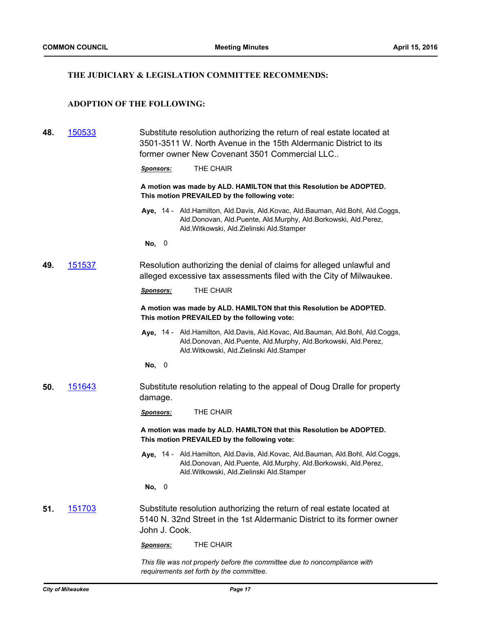## **THE JUDICIARY & LEGISLATION COMMITTEE RECOMMENDS:**

**48.** [150533](http://milwaukee.legistar.com/gateway.aspx?m=l&id=/matter.aspx?key=41995) Substitute resolution authorizing the return of real estate located at

## **ADOPTION OF THE FOLLOWING:**

|               | 3501-3511 W. North Avenue in the 15th Aldermanic District to its<br>former owner New Covenant 3501 Commercial LLC                                                                                     |
|---------------|-------------------------------------------------------------------------------------------------------------------------------------------------------------------------------------------------------|
|               | THE CHAIR<br><b>Sponsors:</b>                                                                                                                                                                         |
|               | A motion was made by ALD. HAMILTON that this Resolution be ADOPTED.<br>This motion PREVAILED by the following vote:                                                                                   |
|               | Aye, 14 - Ald. Hamilton, Ald. Davis, Ald. Kovac, Ald. Bauman, Ald. Bohl, Ald. Coggs,<br>Ald.Donovan, Ald.Puente, Ald.Murphy, Ald.Borkowski, Ald.Perez,<br>Ald. Witkowski, Ald. Zielinski Ald. Stamper |
|               | No, 0                                                                                                                                                                                                 |
| 151537<br>49. | Resolution authorizing the denial of claims for alleged unlawful and<br>alleged excessive tax assessments filed with the City of Milwaukee.                                                           |
|               | THE CHAIR<br><b>Sponsors:</b>                                                                                                                                                                         |
|               | A motion was made by ALD. HAMILTON that this Resolution be ADOPTED.<br>This motion PREVAILED by the following vote:                                                                                   |
|               | Aye, 14 - Ald. Hamilton, Ald. Davis, Ald. Kovac, Ald. Bauman, Ald. Bohl, Ald. Coggs,<br>Ald.Donovan, Ald.Puente, Ald.Murphy, Ald.Borkowski, Ald.Perez,<br>Ald.Witkowski, Ald.Zielinski Ald.Stamper    |
|               | No, 0                                                                                                                                                                                                 |
| 151643<br>50. | Substitute resolution relating to the appeal of Doug Dralle for property<br>damage.                                                                                                                   |
|               | THE CHAIR<br><b>Sponsors:</b>                                                                                                                                                                         |
|               | A motion was made by ALD. HAMILTON that this Resolution be ADOPTED.<br>This motion PREVAILED by the following vote:                                                                                   |
|               | Aye, 14 - Ald.Hamilton, Ald.Davis, Ald.Kovac, Ald.Bauman, Ald.Bohl, Ald.Coggs,<br>Ald.Donovan, Ald.Puente, Ald.Murphy, Ald.Borkowski, Ald.Perez,<br>Ald.Witkowski, Ald.Zielinski Ald.Stamper          |
|               | No,<br>0                                                                                                                                                                                              |

**51.** [151703](http://milwaukee.legistar.com/gateway.aspx?m=l&id=/matter.aspx?key=43400) Substitute resolution authorizing the return of real estate located at 5140 N. 32nd Street in the 1st Aldermanic District to its former owner John J. Cook.

*Sponsors:* THE CHAIR

*This file was not properly before the committee due to noncompliance with requirements set forth by the committee.*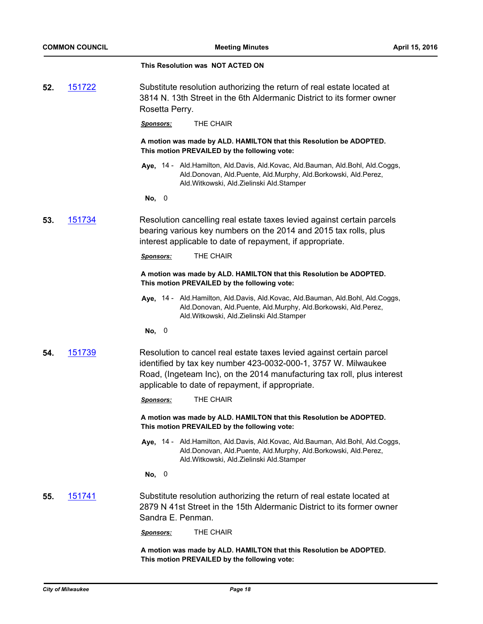|     |        | This Resolution was NOT ACTED ON                                                                                                                                                                                                                                      |
|-----|--------|-----------------------------------------------------------------------------------------------------------------------------------------------------------------------------------------------------------------------------------------------------------------------|
| 52. | 151722 | Substitute resolution authorizing the return of real estate located at<br>3814 N. 13th Street in the 6th Aldermanic District to its former owner<br>Rosetta Perry.                                                                                                    |
|     |        | THE CHAIR<br><u>Sponsors:</u>                                                                                                                                                                                                                                         |
|     |        | A motion was made by ALD. HAMILTON that this Resolution be ADOPTED.<br>This motion PREVAILED by the following vote:                                                                                                                                                   |
|     |        | Aye, 14 - Ald.Hamilton, Ald.Davis, Ald.Kovac, Ald.Bauman, Ald.Bohl, Ald.Coggs,<br>Ald.Donovan, Ald.Puente, Ald.Murphy, Ald.Borkowski, Ald.Perez,<br>Ald. Witkowski, Ald. Zielinski Ald. Stamper                                                                       |
|     |        | No, 0                                                                                                                                                                                                                                                                 |
| 53. | 151734 | Resolution cancelling real estate taxes levied against certain parcels<br>bearing various key numbers on the 2014 and 2015 tax rolls, plus<br>interest applicable to date of repayment, if appropriate.                                                               |
|     |        | THE CHAIR<br><u>Sponsors:</u>                                                                                                                                                                                                                                         |
|     |        | A motion was made by ALD. HAMILTON that this Resolution be ADOPTED.<br>This motion PREVAILED by the following vote:                                                                                                                                                   |
|     |        | Aye, 14 - Ald.Hamilton, Ald.Davis, Ald.Kovac, Ald.Bauman, Ald.Bohl, Ald.Coggs,<br>Ald.Donovan, Ald.Puente, Ald.Murphy, Ald.Borkowski, Ald.Perez,<br>Ald. Witkowski, Ald. Zielinski Ald. Stamper                                                                       |
|     |        | $\overline{\phantom{0}}$<br>No,                                                                                                                                                                                                                                       |
| 54. | 151739 | Resolution to cancel real estate taxes levied against certain parcel<br>identified by tax key number 423-0032-000-1, 3757 W. Milwaukee<br>Road, (Ingeteam Inc), on the 2014 manufacturing tax roll, plus interest<br>applicable to date of repayment, if appropriate. |
|     |        | THE CHAIR<br><u>Sponsors:</u>                                                                                                                                                                                                                                         |
|     |        | A motion was made by ALD. HAMILTON that this Resolution be ADOPTED.<br>This motion PREVAILED by the following vote:                                                                                                                                                   |
|     |        | Aye, 14 - Ald.Hamilton, Ald.Davis, Ald.Kovac, Ald.Bauman, Ald.Bohl, Ald.Coggs,<br>Ald.Donovan, Ald.Puente, Ald.Murphy, Ald.Borkowski, Ald.Perez,<br>Ald. Witkowski, Ald. Zielinski Ald. Stamper                                                                       |
|     |        | No, 0                                                                                                                                                                                                                                                                 |
| 55. | 151741 | Substitute resolution authorizing the return of real estate located at<br>2879 N 41st Street in the 15th Aldermanic District to its former owner<br>Sandra E. Penman.                                                                                                 |
|     |        | THE CHAIR<br><u>Sponsors:</u>                                                                                                                                                                                                                                         |
|     |        | A motion was made by ALD. HAMILTON that this Resolution be ADOPTED.<br>This motion PREVAILED by the following vote:                                                                                                                                                   |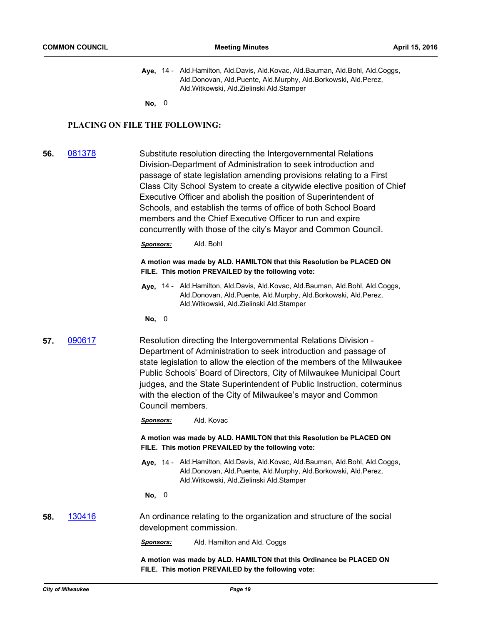Aye, 14 - Ald.Hamilton, Ald.Davis, Ald.Kovac, Ald.Bauman, Ald.Bohl, Ald.Coggs, Ald.Donovan, Ald.Puente, Ald.Murphy, Ald.Borkowski, Ald.Perez, Ald.Witkowski, Ald.Zielinski Ald.Stamper

**No,** 0

## **PLACING ON FILE THE FOLLOWING:**

**56.** [081378](http://milwaukee.legistar.com/gateway.aspx?m=l&id=/matter.aspx?key=28737) Substitute resolution directing the Intergovernmental Relations Division-Department of Administration to seek introduction and passage of state legislation amending provisions relating to a First Class City School System to create a citywide elective position of Chief Executive Officer and abolish the position of Superintendent of Schools, and establish the terms of office of both School Board members and the Chief Executive Officer to run and expire concurrently with those of the city's Mayor and Common Council.

*Sponsors:* Ald. Bohl

#### **A motion was made by ALD. HAMILTON that this Resolution be PLACED ON FILE. This motion PREVAILED by the following vote:**

- **Aye,** Ald.Hamilton, Ald.Davis, Ald.Kovac, Ald.Bauman, Ald.Bohl, Ald.Coggs, 14 Ald.Donovan, Ald.Puente, Ald.Murphy, Ald.Borkowski, Ald.Perez, Ald.Witkowski, Ald.Zielinski Ald.Stamper
- **No,** 0
- **57.** [090617](http://milwaukee.legistar.com/gateway.aspx?m=l&id=/matter.aspx?key=29873) Resolution directing the Intergovernmental Relations Division Department of Administration to seek introduction and passage of state legislation to allow the election of the members of the Milwaukee Public Schools' Board of Directors, City of Milwaukee Municipal Court judges, and the State Superintendent of Public Instruction, coterminus with the election of the City of Milwaukee's mayor and Common Council members.

*Sponsors:* Ald. Kovac

**A motion was made by ALD. HAMILTON that this Resolution be PLACED ON FILE. This motion PREVAILED by the following vote:**

Aye, 14 - Ald.Hamilton, Ald.Davis, Ald.Kovac, Ald.Bauman, Ald.Bohl, Ald.Coggs, Ald.Donovan, Ald.Puente, Ald.Murphy, Ald.Borkowski, Ald.Perez, Ald.Witkowski, Ald.Zielinski Ald.Stamper

**No,** 0

**58.** [130416](http://milwaukee.legistar.com/gateway.aspx?m=l&id=/matter.aspx?key=37690) An ordinance relating to the organization and structure of the social development commission.

*Sponsors:* Ald. Hamilton and Ald. Coggs

**A motion was made by ALD. HAMILTON that this Ordinance be PLACED ON FILE. This motion PREVAILED by the following vote:**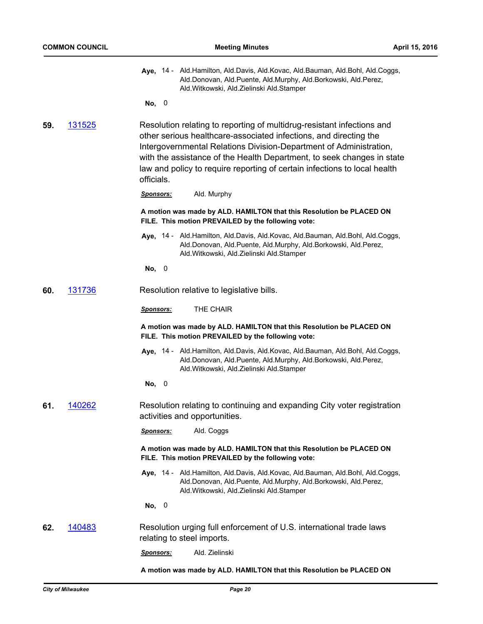|  | Aye, 14 - Ald.Hamilton, Ald.Davis, Ald.Kovac, Ald.Bauman, Ald.Bohl, Ald.Coggs, |
|--|--------------------------------------------------------------------------------|
|  | Ald.Donovan, Ald.Puente, Ald.Murphy, Ald.Borkowski, Ald.Perez,                 |
|  | Ald.Witkowski, Ald.Zielinski Ald.Stamper                                       |

**No,** 0

**59.** [131525](http://milwaukee.legistar.com/gateway.aspx?m=l&id=/matter.aspx?key=38939) Resolution relating to reporting of multidrug-resistant infections and other serious healthcare-associated infections, and directing the Intergovernmental Relations Division-Department of Administration, with the assistance of the Health Department, to seek changes in state law and policy to require reporting of certain infections to local health officials.

*Sponsors:* Ald. Murphy

#### **A motion was made by ALD. HAMILTON that this Resolution be PLACED ON FILE. This motion PREVAILED by the following vote:**

**Aye,** Ald.Hamilton, Ald.Davis, Ald.Kovac, Ald.Bauman, Ald.Bohl, Ald.Coggs, 14 - Ald.Donovan, Ald.Puente, Ald.Murphy, Ald.Borkowski, Ald.Perez, Ald.Witkowski, Ald.Zielinski Ald.Stamper

**No,** 0

**60.** [131736](http://milwaukee.legistar.com/gateway.aspx?m=l&id=/matter.aspx?key=39173) Resolution relative to legislative bills.

*Sponsors:* THE CHAIR

**A motion was made by ALD. HAMILTON that this Resolution be PLACED ON FILE. This motion PREVAILED by the following vote:**

- Aye, 14 Ald.Hamilton, Ald.Davis, Ald.Kovac, Ald.Bauman, Ald.Bohl, Ald.Coggs, Ald.Donovan, Ald.Puente, Ald.Murphy, Ald.Borkowski, Ald.Perez, Ald.Witkowski, Ald.Zielinski Ald.Stamper
- **No,** 0
- **61.** [140262](http://milwaukee.legistar.com/gateway.aspx?m=l&id=/matter.aspx?key=39552) Resolution relating to continuing and expanding City voter registration activities and opportunities.
	- *Sponsors:* Ald. Coggs

**A motion was made by ALD. HAMILTON that this Resolution be PLACED ON FILE. This motion PREVAILED by the following vote:**

**Aye,** Ald.Hamilton, Ald.Davis, Ald.Kovac, Ald.Bauman, Ald.Bohl, Ald.Coggs, 14 - Ald.Donovan, Ald.Puente, Ald.Murphy, Ald.Borkowski, Ald.Perez, Ald.Witkowski, Ald.Zielinski Ald.Stamper

**No,** 0

- **62.** [140483](http://milwaukee.legistar.com/gateway.aspx?m=l&id=/matter.aspx?key=39792) Resolution urging full enforcement of U.S. international trade laws relating to steel imports.
	- *Sponsors:* Ald. Zielinski

**A motion was made by ALD. HAMILTON that this Resolution be PLACED ON**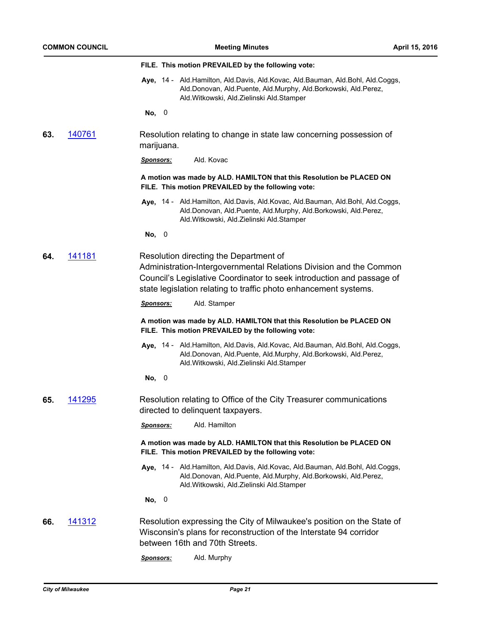|     | <b>COMMON COUNCIL</b> | April 15, 2016<br><b>Meeting Minutes</b>                                                                                                                                                                                                                  |  |
|-----|-----------------------|-----------------------------------------------------------------------------------------------------------------------------------------------------------------------------------------------------------------------------------------------------------|--|
|     |                       | FILE. This motion PREVAILED by the following vote:                                                                                                                                                                                                        |  |
|     |                       | Aye, 14 - Ald.Hamilton, Ald.Davis, Ald.Kovac, Ald.Bauman, Ald.Bohl, Ald.Coggs,<br>Ald.Donovan, Ald.Puente, Ald.Murphy, Ald.Borkowski, Ald.Perez,<br>Ald.Witkowski, Ald.Zielinski Ald.Stamper                                                              |  |
|     |                       | No, 0                                                                                                                                                                                                                                                     |  |
| 63. | 140761                | Resolution relating to change in state law concerning possession of<br>marijuana.                                                                                                                                                                         |  |
|     |                       | Ald. Kovac<br>Sponsors:                                                                                                                                                                                                                                   |  |
|     |                       | A motion was made by ALD. HAMILTON that this Resolution be PLACED ON<br>FILE. This motion PREVAILED by the following vote:                                                                                                                                |  |
|     |                       | Aye, 14 - Ald. Hamilton, Ald. Davis, Ald. Kovac, Ald. Bauman, Ald. Bohl, Ald. Coggs,<br>Ald.Donovan, Ald.Puente, Ald.Murphy, Ald.Borkowski, Ald.Perez,<br>Ald. Witkowski, Ald. Zielinski Ald. Stamper                                                     |  |
|     |                       | No, 0                                                                                                                                                                                                                                                     |  |
| 64. | <u>141181</u>         | Resolution directing the Department of<br>Administration-Intergovernmental Relations Division and the Common<br>Council's Legislative Coordinator to seek introduction and passage of<br>state legislation relating to traffic photo enhancement systems. |  |
|     |                       | Ald. Stamper<br><u>Sponsors:</u>                                                                                                                                                                                                                          |  |
|     |                       | A motion was made by ALD. HAMILTON that this Resolution be PLACED ON<br>FILE. This motion PREVAILED by the following vote:                                                                                                                                |  |
|     |                       | Aye, 14 - Ald.Hamilton, Ald.Davis, Ald.Kovac, Ald.Bauman, Ald.Bohl, Ald.Coggs,<br>Ald.Donovan, Ald.Puente, Ald.Murphy, Ald.Borkowski, Ald.Perez,<br>Ald. Witkowski, Ald. Zielinski Ald. Stamper                                                           |  |
|     |                       | No,<br>0                                                                                                                                                                                                                                                  |  |
| 65. | 141295                | Resolution relating to Office of the City Treasurer communications<br>directed to delinquent taxpayers.                                                                                                                                                   |  |
|     |                       | Ald. Hamilton<br><u>Sponsors:</u>                                                                                                                                                                                                                         |  |
|     |                       | A motion was made by ALD. HAMILTON that this Resolution be PLACED ON<br>FILE. This motion PREVAILED by the following vote:                                                                                                                                |  |
|     |                       | Aye, 14 - Ald.Hamilton, Ald.Davis, Ald.Kovac, Ald.Bauman, Ald.Bohl, Ald.Coggs,<br>Ald.Donovan, Ald.Puente, Ald.Murphy, Ald.Borkowski, Ald.Perez,<br>Ald.Witkowski, Ald.Zielinski Ald.Stamper                                                              |  |
|     |                       | No, 0                                                                                                                                                                                                                                                     |  |
| 66. | 141312                | Resolution expressing the City of Milwaukee's position on the State of<br>Wisconsin's plans for reconstruction of the Interstate 94 corridor<br>between 16th and 70th Streets.                                                                            |  |
|     |                       | Ald. Murphy<br>Sponsors:                                                                                                                                                                                                                                  |  |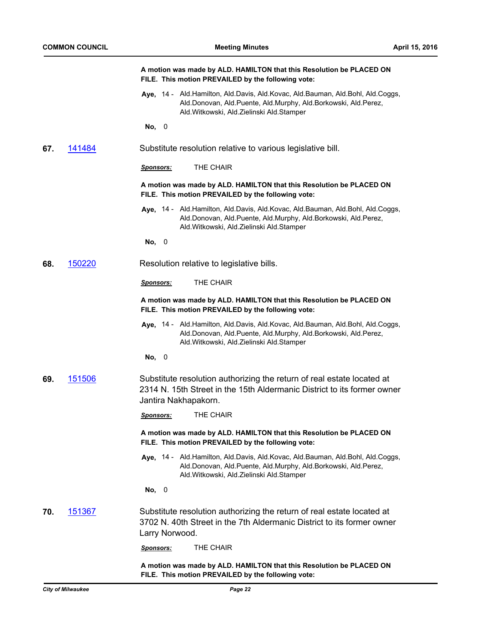|     |               | A motion was made by ALD. HAMILTON that this Resolution be PLACED ON<br>FILE. This motion PREVAILED by the following vote:                                                                            |
|-----|---------------|-------------------------------------------------------------------------------------------------------------------------------------------------------------------------------------------------------|
|     |               | Aye, 14 - Ald. Hamilton, Ald. Davis, Ald. Kovac, Ald. Bauman, Ald. Bohl, Ald. Coggs,<br>Ald.Donovan, Ald.Puente, Ald.Murphy, Ald.Borkowski, Ald.Perez,<br>Ald. Witkowski, Ald. Zielinski Ald. Stamper |
|     |               | No, 0                                                                                                                                                                                                 |
| 67. | 141484        | Substitute resolution relative to various legislative bill.                                                                                                                                           |
|     |               | THE CHAIR<br><b>Sponsors:</b>                                                                                                                                                                         |
|     |               | A motion was made by ALD. HAMILTON that this Resolution be PLACED ON<br>FILE. This motion PREVAILED by the following vote:                                                                            |
|     |               | Aye, 14 - Ald.Hamilton, Ald.Davis, Ald.Kovac, Ald.Bauman, Ald.Bohl, Ald.Coggs,<br>Ald.Donovan, Ald.Puente, Ald.Murphy, Ald.Borkowski, Ald.Perez,<br>Ald. Witkowski, Ald. Zielinski Ald. Stamper       |
|     |               | No, 0                                                                                                                                                                                                 |
| 68. | 150220        | Resolution relative to legislative bills.                                                                                                                                                             |
|     |               | THE CHAIR<br><b>Sponsors:</b>                                                                                                                                                                         |
|     |               | A motion was made by ALD. HAMILTON that this Resolution be PLACED ON<br>FILE. This motion PREVAILED by the following vote:                                                                            |
|     |               | Aye, 14 - Ald.Hamilton, Ald.Davis, Ald.Kovac, Ald.Bauman, Ald.Bohl, Ald.Coggs,<br>Ald.Donovan, Ald.Puente, Ald.Murphy, Ald.Borkowski, Ald.Perez,<br>Ald. Witkowski, Ald. Zielinski Ald. Stamper       |
|     |               | No, 0                                                                                                                                                                                                 |
| 69. | 151506        | Substitute resolution authorizing the return of real estate located at<br>2314 N. 15th Street in the 15th Aldermanic District to its former owner<br>Jantira Nakhapakorn.                             |
|     |               | THE CHAIR<br><u>Sponsors:</u>                                                                                                                                                                         |
|     |               | A motion was made by ALD. HAMILTON that this Resolution be PLACED ON<br>FILE. This motion PREVAILED by the following vote:                                                                            |
|     |               | Aye, 14 - Ald.Hamilton, Ald.Davis, Ald.Kovac, Ald.Bauman, Ald.Bohl, Ald.Coggs,<br>Ald.Donovan, Ald.Puente, Ald.Murphy, Ald.Borkowski, Ald.Perez,<br>Ald. Witkowski, Ald. Zielinski Ald. Stamper       |
|     |               | No, 0                                                                                                                                                                                                 |
| 70. | <u>151367</u> | Substitute resolution authorizing the return of real estate located at<br>3702 N. 40th Street in the 7th Aldermanic District to its former owner<br>Larry Norwood.                                    |
|     |               | THE CHAIR<br><u>Sponsors:</u>                                                                                                                                                                         |
|     |               | A motion was made by ALD, HAMILTON that this Resolution be PLACED ON.                                                                                                                                 |

**A motion was made by ALD. HAMILTON that this Resolution be PLACED ON FILE. This motion PREVAILED by the following vote:**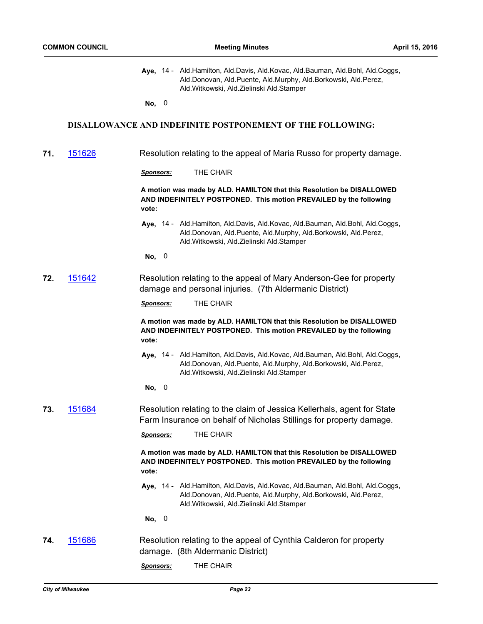|  | Aye, 14 - Ald.Hamilton, Ald.Davis, Ald.Kovac, Ald.Bauman, Ald.Bohl, Ald.Coggs, |
|--|--------------------------------------------------------------------------------|
|  | Ald.Donovan, Ald.Puente, Ald.Murphy, Ald.Borkowski, Ald.Perez,                 |
|  | Ald. Witkowski, Ald. Zielinski Ald. Stamper                                    |

**No,** 0

#### **DISALLOWANCE AND INDEFINITE POSTPONEMENT OF THE FOLLOWING:**

**71.** [151626](http://milwaukee.legistar.com/gateway.aspx?m=l&id=/matter.aspx?key=43313) Resolution relating to the appeal of Maria Russo for property damage.

*Sponsors:* THE CHAIR

**A motion was made by ALD. HAMILTON that this Resolution be DISALLOWED AND INDEFINITELY POSTPONED. This motion PREVAILED by the following vote:**

Aye, 14 - Ald.Hamilton, Ald.Davis, Ald.Kovac, Ald.Bauman, Ald.Bohl, Ald.Coggs, Ald.Donovan, Ald.Puente, Ald.Murphy, Ald.Borkowski, Ald.Perez, Ald.Witkowski, Ald.Zielinski Ald.Stamper

**No,** 0

**72.** [151642](http://milwaukee.legistar.com/gateway.aspx?m=l&id=/matter.aspx?key=43329) Resolution relating to the appeal of Mary Anderson-Gee for property damage and personal injuries. (7th Aldermanic District)

*Sponsors:* THE CHAIR

**A motion was made by ALD. HAMILTON that this Resolution be DISALLOWED AND INDEFINITELY POSTPONED. This motion PREVAILED by the following vote:**

- Aye, 14 Ald.Hamilton, Ald.Davis, Ald.Kovac, Ald.Bauman, Ald.Bohl, Ald.Coggs, Ald.Donovan, Ald.Puente, Ald.Murphy, Ald.Borkowski, Ald.Perez, Ald.Witkowski, Ald.Zielinski Ald.Stamper
- **No,** 0
- **73.** [151684](http://milwaukee.legistar.com/gateway.aspx?m=l&id=/matter.aspx?key=43377) Resolution relating to the claim of Jessica Kellerhals, agent for State Farm Insurance on behalf of Nicholas Stillings for property damage.

*Sponsors:* THE CHAIR

**A motion was made by ALD. HAMILTON that this Resolution be DISALLOWED AND INDEFINITELY POSTPONED. This motion PREVAILED by the following vote:**

Aye, 14 - Ald.Hamilton, Ald.Davis, Ald.Kovac, Ald.Bauman, Ald.Bohl, Ald.Coggs, Ald.Donovan, Ald.Puente, Ald.Murphy, Ald.Borkowski, Ald.Perez, Ald.Witkowski, Ald.Zielinski Ald.Stamper

- **74.** [151686](http://milwaukee.legistar.com/gateway.aspx?m=l&id=/matter.aspx?key=43379) Resolution relating to the appeal of Cynthia Calderon for property damage. (8th Aldermanic District)
	- *Sponsors:* THE CHAIR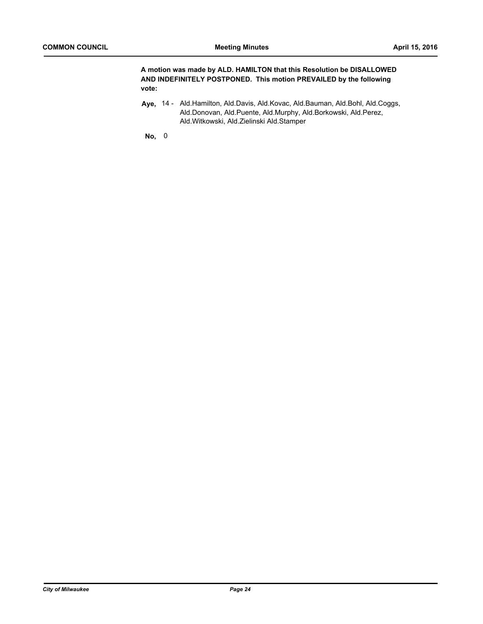**A motion was made by ALD. HAMILTON that this Resolution be DISALLOWED AND INDEFINITELY POSTPONED. This motion PREVAILED by the following vote:**

Aye, 14 - Ald.Hamilton, Ald.Davis, Ald.Kovac, Ald.Bauman, Ald.Bohl, Ald.Coggs, Ald.Donovan, Ald.Puente, Ald.Murphy, Ald.Borkowski, Ald.Perez, Ald.Witkowski, Ald.Zielinski Ald.Stamper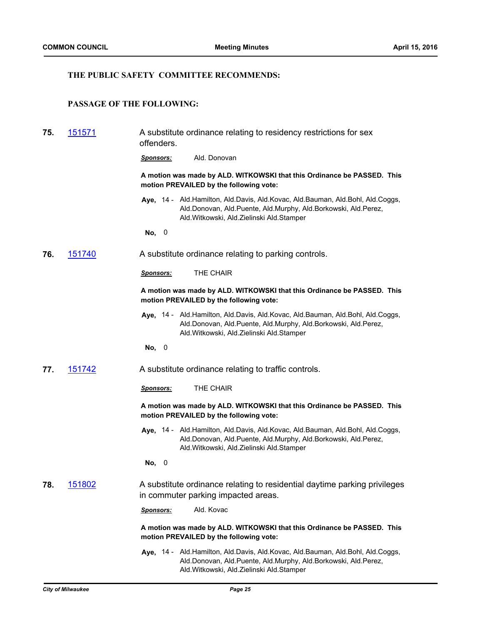## **THE PUBLIC SAFETY COMMITTEE RECOMMENDS:**

## **PASSAGE OF THE FOLLOWING:**

| 75. | <u>151571</u> | A substitute ordinance relating to residency restrictions for sex<br>offenders.                                                                                                                    |  |  |
|-----|---------------|----------------------------------------------------------------------------------------------------------------------------------------------------------------------------------------------------|--|--|
|     |               | Ald. Donovan<br>Sponsors:                                                                                                                                                                          |  |  |
|     |               | A motion was made by ALD. WITKOWSKI that this Ordinance be PASSED. This<br>motion PREVAILED by the following vote:                                                                                 |  |  |
|     |               | Aye, 14 - Ald.Hamilton, Ald.Davis, Ald.Kovac, Ald.Bauman, Ald.Bohl, Ald.Coggs,<br>Ald.Donovan, Ald.Puente, Ald.Murphy, Ald.Borkowski, Ald.Perez,<br>Ald.Witkowski, Ald.Zielinski Ald.Stamper       |  |  |
|     |               | No, 0                                                                                                                                                                                              |  |  |
| 76. | 151740        | A substitute ordinance relating to parking controls.                                                                                                                                               |  |  |
|     |               | THE CHAIR<br><b>Sponsors:</b>                                                                                                                                                                      |  |  |
|     |               | A motion was made by ALD. WITKOWSKI that this Ordinance be PASSED. This<br>motion PREVAILED by the following vote:                                                                                 |  |  |
|     |               | Aye, 14 - Ald.Hamilton, Ald.Davis, Ald.Kovac, Ald.Bauman, Ald.Bohl, Ald.Coggs,<br>Ald.Donovan, Ald.Puente, Ald.Murphy, Ald.Borkowski, Ald.Perez,<br>Ald.Witkowski, Ald.Zielinski Ald.Stamper       |  |  |
|     |               | No, 0                                                                                                                                                                                              |  |  |
| 77. | 151742        | A substitute ordinance relating to traffic controls.                                                                                                                                               |  |  |
|     |               | THE CHAIR<br><b>Sponsors:</b>                                                                                                                                                                      |  |  |
|     |               | A motion was made by ALD. WITKOWSKI that this Ordinance be PASSED. This<br>motion PREVAILED by the following vote:                                                                                 |  |  |
|     |               | Aye, 14 - Ald.Hamilton, Ald.Davis, Ald.Kovac, Ald.Bauman, Ald.Bohl, Ald.Coggs,<br>Ald.Donovan, Ald.Puente, Ald.Murphy, Ald.Borkowski, Ald.Perez,<br>Ald.Witkowski, Ald.Zielinski Ald.Stamper       |  |  |
|     |               | No, 0                                                                                                                                                                                              |  |  |
| 78. | <u>151802</u> | A substitute ordinance relating to residential daytime parking privileges<br>in commuter parking impacted areas.                                                                                   |  |  |
|     |               | Ald. Kovac<br><b>Sponsors:</b>                                                                                                                                                                     |  |  |
|     |               | A motion was made by ALD. WITKOWSKI that this Ordinance be PASSED. This<br>motion PREVAILED by the following vote:                                                                                 |  |  |
|     |               | Aye, 14 - Ald. Hamilton, Ald. Davis, Ald. Kovac, Ald. Bauman, Ald. Bohl, Ald. Coggs,<br>Ald.Donovan, Ald.Puente, Ald.Murphy, Ald.Borkowski, Ald.Perez,<br>Ald.Witkowski, Ald.Zielinski Ald.Stamper |  |  |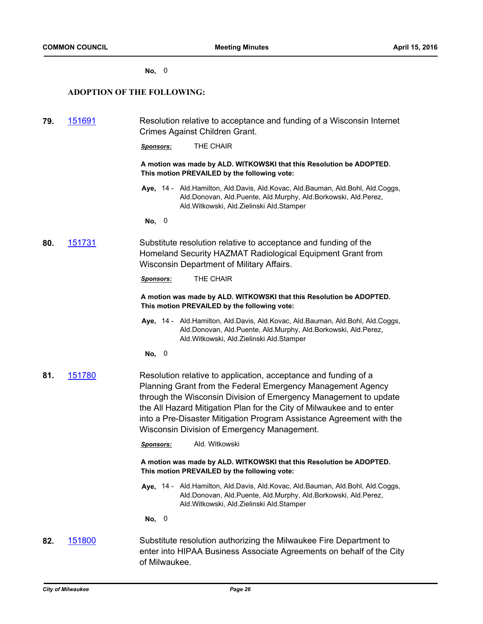#### **No,** 0

## **ADOPTION OF THE FOLLOWING:**

| 151691<br>79.<br>Crimes Against Children Grant. |               | Resolution relative to acceptance and funding of a Wisconsin Internet                                                                                                                                                                                                                                                                                                                              |
|-------------------------------------------------|---------------|----------------------------------------------------------------------------------------------------------------------------------------------------------------------------------------------------------------------------------------------------------------------------------------------------------------------------------------------------------------------------------------------------|
|                                                 |               | THE CHAIR<br><b>Sponsors:</b>                                                                                                                                                                                                                                                                                                                                                                      |
|                                                 |               | A motion was made by ALD. WITKOWSKI that this Resolution be ADOPTED.<br>This motion PREVAILED by the following vote:                                                                                                                                                                                                                                                                               |
|                                                 |               | Aye, 14 - Ald.Hamilton, Ald.Davis, Ald.Kovac, Ald.Bauman, Ald.Bohl, Ald.Coggs,<br>Ald.Donovan, Ald.Puente, Ald.Murphy, Ald.Borkowski, Ald.Perez,<br>Ald. Witkowski, Ald. Zielinski Ald. Stamper                                                                                                                                                                                                    |
|                                                 |               | No, 0                                                                                                                                                                                                                                                                                                                                                                                              |
| 80.                                             | <u>151731</u> | Substitute resolution relative to acceptance and funding of the<br>Homeland Security HAZMAT Radiological Equipment Grant from<br>Wisconsin Department of Military Affairs.                                                                                                                                                                                                                         |
|                                                 |               | THE CHAIR<br><b>Sponsors:</b>                                                                                                                                                                                                                                                                                                                                                                      |
|                                                 |               | A motion was made by ALD. WITKOWSKI that this Resolution be ADOPTED.<br>This motion PREVAILED by the following vote:                                                                                                                                                                                                                                                                               |
|                                                 |               | Aye, 14 - Ald.Hamilton, Ald.Davis, Ald.Kovac, Ald.Bauman, Ald.Bohl, Ald.Coggs,<br>Ald.Donovan, Ald.Puente, Ald.Murphy, Ald.Borkowski, Ald.Perez,<br>Ald. Witkowski, Ald. Zielinski Ald. Stamper                                                                                                                                                                                                    |
|                                                 |               | No, 0                                                                                                                                                                                                                                                                                                                                                                                              |
| 81.                                             | 151780        | Resolution relative to application, acceptance and funding of a<br>Planning Grant from the Federal Emergency Management Agency<br>through the Wisconsin Division of Emergency Management to update<br>the All Hazard Mitigation Plan for the City of Milwaukee and to enter<br>into a Pre-Disaster Mitigation Program Assistance Agreement with the<br>Wisconsin Division of Emergency Management. |
|                                                 |               | Ald. Witkowski<br><b>Sponsors:</b>                                                                                                                                                                                                                                                                                                                                                                 |
|                                                 |               | A motion was made by ALD. WITKOWSKI that this Resolution be ADOPTED.<br>This motion PREVAILED by the following vote:                                                                                                                                                                                                                                                                               |
|                                                 |               | Aye, 14 - Ald.Hamilton, Ald.Davis, Ald.Kovac, Ald.Bauman, Ald.Bohl, Ald.Coggs,<br>Ald.Donovan, Ald.Puente, Ald.Murphy, Ald.Borkowski, Ald.Perez,<br>Ald. Witkowski, Ald. Zielinski Ald. Stamper                                                                                                                                                                                                    |
|                                                 |               | No, 0                                                                                                                                                                                                                                                                                                                                                                                              |
| 82.                                             | <u>151800</u> | Substitute resolution authorizing the Milwaukee Fire Department to<br>enter into HIPAA Business Associate Agreements on behalf of the City<br>of Milwaukee.                                                                                                                                                                                                                                        |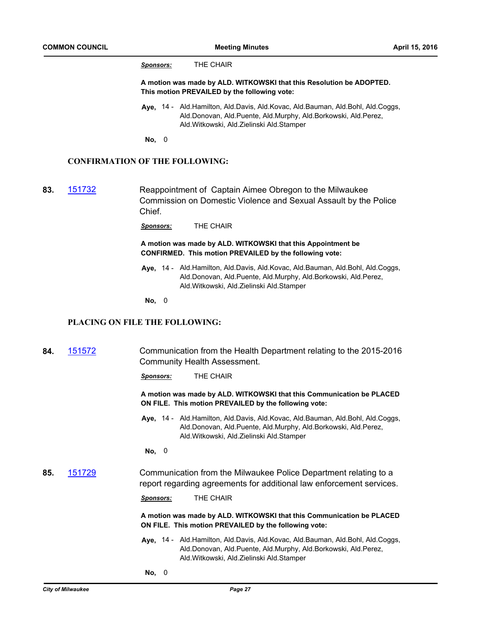*Sponsors:* THE CHAIR

**A motion was made by ALD. WITKOWSKI that this Resolution be ADOPTED. This motion PREVAILED by the following vote:**

**Aye,** Ald.Hamilton, Ald.Davis, Ald.Kovac, Ald.Bauman, Ald.Bohl, Ald.Coggs, 14 - Ald.Donovan, Ald.Puente, Ald.Murphy, Ald.Borkowski, Ald.Perez, Ald.Witkowski, Ald.Zielinski Ald.Stamper

**No,** 0

## **CONFIRMATION OF THE FOLLOWING:**

**83.** [151732](http://milwaukee.legistar.com/gateway.aspx?m=l&id=/matter.aspx?key=43442) Reappointment of Captain Aimee Obregon to the Milwaukee Commission on Domestic Violence and Sexual Assault by the Police Chief.

*Sponsors:* THE CHAIR

**A motion was made by ALD. WITKOWSKI that this Appointment be CONFIRMED. This motion PREVAILED by the following vote:**

Aye, 14 - Ald.Hamilton, Ald.Davis, Ald.Kovac, Ald.Bauman, Ald.Bohl, Ald.Coggs, Ald.Donovan, Ald.Puente, Ald.Murphy, Ald.Borkowski, Ald.Perez, Ald.Witkowski, Ald.Zielinski Ald.Stamper

**No,** 0

## **PLACING ON FILE THE FOLLOWING:**

**84.** [151572](http://milwaukee.legistar.com/gateway.aspx?m=l&id=/matter.aspx?key=43217) Communication from the Health Department relating to the 2015-2016 Community Health Assessment. *Sponsors:* THE CHAIR **A motion was made by ALD. WITKOWSKI that this Communication be PLACED ON FILE. This motion PREVAILED by the following vote:** Aye, 14 - Ald.Hamilton, Ald.Davis, Ald.Kovac, Ald.Bauman, Ald.Bohl, Ald.Coggs, Ald.Donovan, Ald.Puente, Ald.Murphy, Ald.Borkowski, Ald.Perez, Ald.Witkowski, Ald.Zielinski Ald.Stamper **No,** 0 **85.** [151729](http://milwaukee.legistar.com/gateway.aspx?m=l&id=/matter.aspx?key=43439) Communication from the Milwaukee Police Department relating to a report regarding agreements for additional law enforcement services. *Sponsors:* THE CHAIR **A motion was made by ALD. WITKOWSKI that this Communication be PLACED ON FILE. This motion PREVAILED by the following vote:** Aye, 14 - Ald.Hamilton, Ald.Davis, Ald.Kovac, Ald.Bauman, Ald.Bohl, Ald.Coggs, Ald.Donovan, Ald.Puente, Ald.Murphy, Ald.Borkowski, Ald.Perez, Ald.Witkowski, Ald.Zielinski Ald.Stamper **No,** 0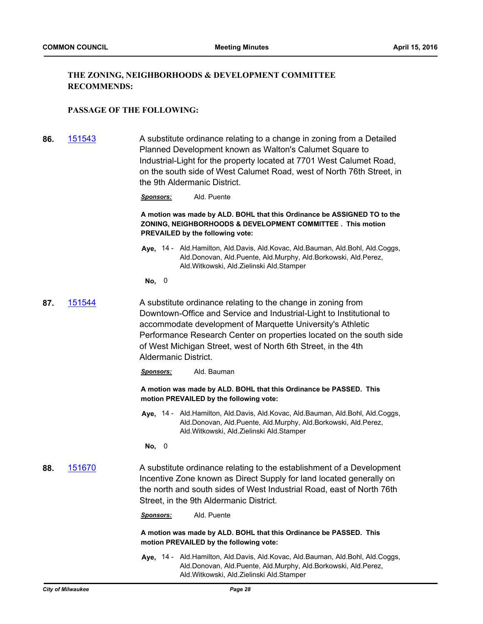## **THE ZONING, NEIGHBORHOODS & DEVELOPMENT COMMITTEE RECOMMENDS:**

## **PASSAGE OF THE FOLLOWING:**

- **86.** [151543](http://milwaukee.legistar.com/gateway.aspx?m=l&id=/matter.aspx?key=43182) A substitute ordinance relating to a change in zoning from a Detailed Planned Development known as Walton's Calumet Square to Industrial-Light for the property located at 7701 West Calumet Road, on the south side of West Calumet Road, west of North 76th Street, in the 9th Aldermanic District.
	- *Sponsors:* Ald. Puente

**A motion was made by ALD. BOHL that this Ordinance be ASSIGNED TO to the ZONING, NEIGHBORHOODS & DEVELOPMENT COMMITTEE . This motion PREVAILED by the following vote:**

- Aye, 14 Ald.Hamilton, Ald.Davis, Ald.Kovac, Ald.Bauman, Ald.Bohl, Ald.Coggs, Ald.Donovan, Ald.Puente, Ald.Murphy, Ald.Borkowski, Ald.Perez, Ald.Witkowski, Ald.Zielinski Ald.Stamper
- **No,** 0
- **87.** [151544](http://milwaukee.legistar.com/gateway.aspx?m=l&id=/matter.aspx?key=43183) A substitute ordinance relating to the change in zoning from Downtown-Office and Service and Industrial-Light to Institutional to accommodate development of Marquette University's Athletic Performance Research Center on properties located on the south side of West Michigan Street, west of North 6th Street, in the 4th Aldermanic District.
	- *Sponsors:* Ald. Bauman

**A motion was made by ALD. BOHL that this Ordinance be PASSED. This motion PREVAILED by the following vote:**

**Aye,** Ald.Hamilton, Ald.Davis, Ald.Kovac, Ald.Bauman, Ald.Bohl, Ald.Coggs, 14 - Ald.Donovan, Ald.Puente, Ald.Murphy, Ald.Borkowski, Ald.Perez, Ald.Witkowski, Ald.Zielinski Ald.Stamper

**No,** 0

**88.** [151670](http://milwaukee.legistar.com/gateway.aspx?m=l&id=/matter.aspx?key=43360) A substitute ordinance relating to the establishment of a Development Incentive Zone known as Direct Supply for land located generally on the north and south sides of West Industrial Road, east of North 76th Street, in the 9th Aldermanic District.

*Sponsors:* Ald. Puente

**A motion was made by ALD. BOHL that this Ordinance be PASSED. This motion PREVAILED by the following vote:**

Aye, 14 - Ald.Hamilton, Ald.Davis, Ald.Kovac, Ald.Bauman, Ald.Bohl, Ald.Coggs, Ald.Donovan, Ald.Puente, Ald.Murphy, Ald.Borkowski, Ald.Perez, Ald.Witkowski, Ald.Zielinski Ald.Stamper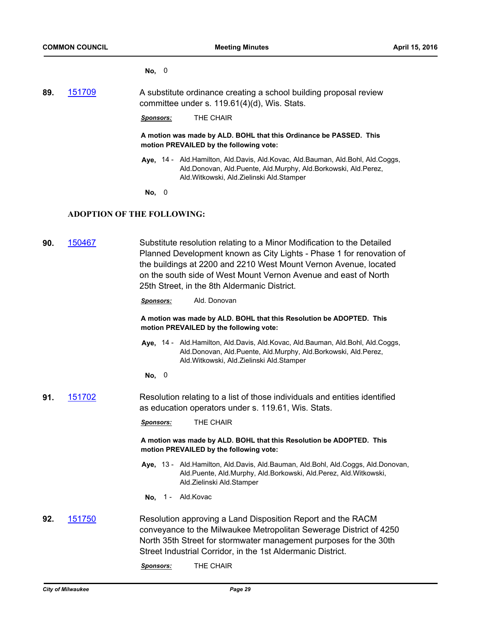**No,** 0

**89.** [151709](http://milwaukee.legistar.com/gateway.aspx?m=l&id=/matter.aspx?key=43408) A substitute ordinance creating a school building proposal review committee under s. 119.61(4)(d), Wis. Stats.

*Sponsors:* THE CHAIR

**A motion was made by ALD. BOHL that this Ordinance be PASSED. This motion PREVAILED by the following vote:**

Aye, 14 - Ald.Hamilton, Ald.Davis, Ald.Kovac, Ald.Bauman, Ald.Bohl, Ald.Coggs, Ald.Donovan, Ald.Puente, Ald.Murphy, Ald.Borkowski, Ald.Perez, Ald.Witkowski, Ald.Zielinski Ald.Stamper

**No,** 0

## **ADOPTION OF THE FOLLOWING:**

| 90. | 150467 | Substitute resolution relating to a Minor Modification to the Detailed<br>Planned Development known as City Lights - Phase 1 for renovation of<br>the buildings at 2200 and 2210 West Mount Vernon Avenue, located<br>on the south side of West Mount Vernon Avenue and east of North<br>25th Street, in the 8th Aldermanic District.<br>Ald. Donovan<br><u>Sponsors:</u> |
|-----|--------|---------------------------------------------------------------------------------------------------------------------------------------------------------------------------------------------------------------------------------------------------------------------------------------------------------------------------------------------------------------------------|
|     |        | A motion was made by ALD. BOHL that this Resolution be ADOPTED. This<br>motion PREVAILED by the following vote:                                                                                                                                                                                                                                                           |
|     |        | Aye, 14 - Ald.Hamilton, Ald.Davis, Ald.Kovac, Ald.Bauman, Ald.Bohl, Ald.Coggs,<br>Ald.Donovan, Ald.Puente, Ald.Murphy, Ald.Borkowski, Ald.Perez,<br>Ald. Witkowski, Ald. Zielinski Ald. Stamper                                                                                                                                                                           |
|     |        | No, 0                                                                                                                                                                                                                                                                                                                                                                     |
| 91. | 151702 | Resolution relating to a list of those individuals and entities identified<br>as education operators under s. 119.61, Wis. Stats.                                                                                                                                                                                                                                         |
|     |        | THE CHAIR<br><u>Sponsors:</u>                                                                                                                                                                                                                                                                                                                                             |
|     |        | A motion was made by ALD. BOHL that this Resolution be ADOPTED. This<br>motion PREVAILED by the following vote:                                                                                                                                                                                                                                                           |
|     |        | Aye, 13 - Ald.Hamilton, Ald.Davis, Ald.Bauman, Ald.Bohl, Ald.Coggs, Ald.Donovan,<br>Ald.Puente, Ald.Murphy, Ald.Borkowski, Ald.Perez, Ald.Witkowski,<br>Ald.Zielinski Ald.Stamper                                                                                                                                                                                         |
|     |        | No, 1 - Ald. Kovac                                                                                                                                                                                                                                                                                                                                                        |
| 92. | 151750 | Resolution approving a Land Disposition Report and the RACM<br>conveyance to the Milwaukee Metropolitan Sewerage District of 4250<br>North 35th Street for stormwater management purposes for the 30th<br>Street Industrial Corridor, in the 1st Aldermanic District.<br>THE CHAIR<br><b>Sponsors:</b>                                                                    |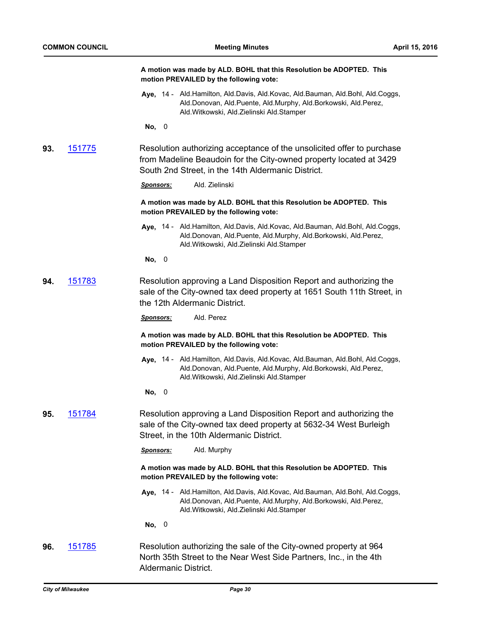|     |               | A motion was made by ALD. BOHL that this Resolution be ADOPTED. This<br>motion PREVAILED by the following vote:                                                                                    |
|-----|---------------|----------------------------------------------------------------------------------------------------------------------------------------------------------------------------------------------------|
|     |               | Aye, 14 - Ald.Hamilton, Ald.Davis, Ald.Kovac, Ald.Bauman, Ald.Bohl, Ald.Coggs,<br>Ald.Donovan, Ald.Puente, Ald.Murphy, Ald.Borkowski, Ald.Perez,<br>Ald. Witkowski, Ald. Zielinski Ald. Stamper    |
|     |               | No, 0                                                                                                                                                                                              |
| 93. | 151775        | Resolution authorizing acceptance of the unsolicited offer to purchase<br>from Madeline Beaudoin for the City-owned property located at 3429<br>South 2nd Street, in the 14th Aldermanic District. |
|     |               | Ald. Zielinski<br><u>Sponsors:</u>                                                                                                                                                                 |
|     |               | A motion was made by ALD. BOHL that this Resolution be ADOPTED. This<br>motion PREVAILED by the following vote:                                                                                    |
|     |               | Aye, 14 - Ald.Hamilton, Ald.Davis, Ald.Kovac, Ald.Bauman, Ald.Bohl, Ald.Coggs,<br>Ald.Donovan, Ald.Puente, Ald.Murphy, Ald.Borkowski, Ald.Perez,<br>Ald. Witkowski, Ald. Zielinski Ald. Stamper    |
|     |               | No, 0                                                                                                                                                                                              |
| 94. | 151783        | Resolution approving a Land Disposition Report and authorizing the<br>sale of the City-owned tax deed property at 1651 South 11th Street, in<br>the 12th Aldermanic District.                      |
|     |               | Ald. Perez<br><u>Sponsors:</u>                                                                                                                                                                     |
|     |               | A motion was made by ALD. BOHL that this Resolution be ADOPTED. This<br>motion PREVAILED by the following vote:                                                                                    |
|     |               | Aye, 14 - Ald.Hamilton, Ald.Davis, Ald.Kovac, Ald.Bauman, Ald.Bohl, Ald.Coggs,<br>Ald.Donovan, Ald.Puente, Ald.Murphy, Ald.Borkowski, Ald.Perez,<br>Ald. Witkowski, Ald. Zielinski Ald. Stamper    |
|     |               | No, 0                                                                                                                                                                                              |
| 95. | 151784        | Resolution approving a Land Disposition Report and authorizing the<br>sale of the City-owned tax deed property at 5632-34 West Burleigh<br>Street, in the 10th Aldermanic District.                |
|     |               | Ald. Murphy<br><b>Sponsors:</b>                                                                                                                                                                    |
|     |               | A motion was made by ALD. BOHL that this Resolution be ADOPTED. This<br>motion PREVAILED by the following vote:                                                                                    |
|     |               | Aye, 14 - Ald.Hamilton, Ald.Davis, Ald.Kovac, Ald.Bauman, Ald.Bohl, Ald.Coggs,<br>Ald.Donovan, Ald.Puente, Ald.Murphy, Ald.Borkowski, Ald.Perez,<br>Ald. Witkowski, Ald. Zielinski Ald. Stamper    |
|     |               | No, 0                                                                                                                                                                                              |
| 96. | <u>151785</u> | Resolution authorizing the sale of the City-owned property at 964<br>North 35th Street to the Near West Side Partners, Inc., in the 4th<br>Aldermanic District.                                    |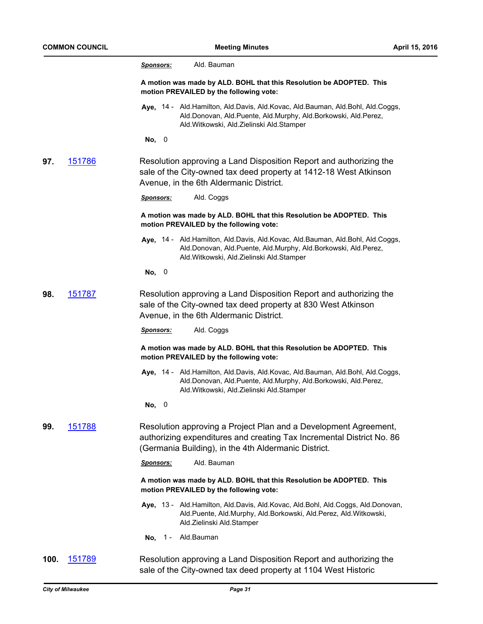|      |        | Ald. Bauman<br><u>Sponsors:</u>                                                                                                                                                                       |
|------|--------|-------------------------------------------------------------------------------------------------------------------------------------------------------------------------------------------------------|
|      |        | A motion was made by ALD. BOHL that this Resolution be ADOPTED. This<br>motion PREVAILED by the following vote:                                                                                       |
|      |        | Aye, 14 - Ald.Hamilton, Ald.Davis, Ald.Kovac, Ald.Bauman, Ald.Bohl, Ald.Coggs,<br>Ald.Donovan, Ald.Puente, Ald.Murphy, Ald.Borkowski, Ald.Perez,<br>Ald. Witkowski, Ald. Zielinski Ald. Stamper       |
|      |        | No, 0                                                                                                                                                                                                 |
| 97.  | 151786 | Resolution approving a Land Disposition Report and authorizing the<br>sale of the City-owned tax deed property at 1412-18 West Atkinson<br>Avenue, in the 6th Aldermanic District.                    |
|      |        | Ald. Coggs<br><u>Sponsors:</u>                                                                                                                                                                        |
|      |        | A motion was made by ALD. BOHL that this Resolution be ADOPTED. This<br>motion PREVAILED by the following vote:                                                                                       |
|      |        | Aye, 14 - Ald.Hamilton, Ald.Davis, Ald.Kovac, Ald.Bauman, Ald.Bohl, Ald.Coggs,<br>Ald.Donovan, Ald.Puente, Ald.Murphy, Ald.Borkowski, Ald.Perez,<br>Ald. Witkowski, Ald. Zielinski Ald. Stamper       |
|      |        | No, 0                                                                                                                                                                                                 |
| 98.  | 151787 | Resolution approving a Land Disposition Report and authorizing the<br>sale of the City-owned tax deed property at 830 West Atkinson<br>Avenue, in the 6th Aldermanic District.                        |
|      |        | Ald. Coggs<br><u>Sponsors:</u>                                                                                                                                                                        |
|      |        | A motion was made by ALD. BOHL that this Resolution be ADOPTED. This<br>motion PREVAILED by the following vote:                                                                                       |
|      |        | Aye, 14 - Ald. Hamilton, Ald. Davis, Ald. Kovac, Ald. Bauman, Ald. Bohl, Ald. Coggs,<br>Ald.Donovan, Ald.Puente, Ald.Murphy, Ald.Borkowski, Ald.Perez,<br>Ald. Witkowski, Ald. Zielinski Ald. Stamper |
|      |        | No, 0                                                                                                                                                                                                 |
| 99.  | 151788 | Resolution approving a Project Plan and a Development Agreement,<br>authorizing expenditures and creating Tax Incremental District No. 86<br>(Germania Building), in the 4th Aldermanic District.     |
|      |        | Ald. Bauman<br><b>Sponsors:</b>                                                                                                                                                                       |
|      |        | A motion was made by ALD. BOHL that this Resolution be ADOPTED. This<br>motion PREVAILED by the following vote:                                                                                       |
|      |        | Aye, 13 - Ald.Hamilton, Ald.Davis, Ald.Kovac, Ald.Bohl, Ald.Coggs, Ald.Donovan,<br>Ald.Puente, Ald.Murphy, Ald.Borkowski, Ald.Perez, Ald.Witkowski,<br>Ald.Zielinski Ald.Stamper                      |
|      |        | No, 1 - Ald. Bauman                                                                                                                                                                                   |
| 100. | 151789 | Resolution approving a Land Disposition Report and authorizing the<br>sale of the City-owned tax deed property at 1104 West Historic                                                                  |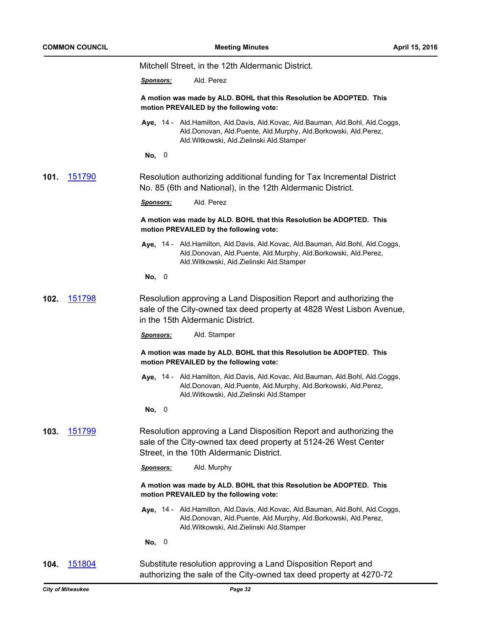|      |        | Mitchell Street, in the 12th Aldermanic District.                                                                                                                                               |
|------|--------|-------------------------------------------------------------------------------------------------------------------------------------------------------------------------------------------------|
|      |        | Ald. Perez<br><u>Sponsors:</u>                                                                                                                                                                  |
|      |        | A motion was made by ALD. BOHL that this Resolution be ADOPTED. This<br>motion PREVAILED by the following vote:                                                                                 |
|      |        | Aye, 14 - Ald.Hamilton, Ald.Davis, Ald.Kovac, Ald.Bauman, Ald.Bohl, Ald.Coggs,<br>Ald.Donovan, Ald.Puente, Ald.Murphy, Ald.Borkowski, Ald.Perez,<br>Ald. Witkowski, Ald. Zielinski Ald. Stamper |
|      |        | No, 0                                                                                                                                                                                           |
| 101. | 151790 | Resolution authorizing additional funding for Tax Incremental District<br>No. 85 (6th and National), in the 12th Aldermanic District.                                                           |
|      |        | Ald. Perez<br><b>Sponsors:</b>                                                                                                                                                                  |
|      |        | A motion was made by ALD. BOHL that this Resolution be ADOPTED. This<br>motion PREVAILED by the following vote:                                                                                 |
|      |        | Aye, 14 - Ald.Hamilton, Ald.Davis, Ald.Kovac, Ald.Bauman, Ald.Bohl, Ald.Coggs,<br>Ald.Donovan, Ald.Puente, Ald.Murphy, Ald.Borkowski, Ald.Perez,<br>Ald. Witkowski, Ald. Zielinski Ald. Stamper |
|      |        | No, 0                                                                                                                                                                                           |
| 102. | 151798 | Resolution approving a Land Disposition Report and authorizing the<br>sale of the City-owned tax deed property at 4828 West Lisbon Avenue,<br>in the 15th Aldermanic District.                  |
|      |        | Ald. Stamper<br><u>Sponsors:</u>                                                                                                                                                                |
|      |        | A motion was made by ALD. BOHL that this Resolution be ADOPTED. This<br>motion PREVAILED by the following vote:                                                                                 |
|      |        | Aye, 14 - Ald.Hamilton, Ald.Davis, Ald.Kovac, Ald.Bauman, Ald.Bohl, Ald.Coggs,<br>Ald.Donovan, Ald.Puente, Ald.Murphy, Ald.Borkowski, Ald.Perez,<br>Ald. Witkowski, Ald. Zielinski Ald. Stamper |
|      |        | 0<br>No,                                                                                                                                                                                        |
| 103. | 151799 | Resolution approving a Land Disposition Report and authorizing the<br>sale of the City-owned tax deed property at 5124-26 West Center<br>Street, in the 10th Aldermanic District.               |
|      |        | Ald. Murphy<br><b>Sponsors:</b>                                                                                                                                                                 |
|      |        | A motion was made by ALD. BOHL that this Resolution be ADOPTED. This<br>motion PREVAILED by the following vote:                                                                                 |
|      |        | Aye, 14 - Ald.Hamilton, Ald.Davis, Ald.Kovac, Ald.Bauman, Ald.Bohl, Ald.Coggs,<br>Ald.Donovan, Ald.Puente, Ald.Murphy, Ald.Borkowski, Ald.Perez,<br>Ald. Witkowski, Ald. Zielinski Ald. Stamper |
|      |        | No, 0                                                                                                                                                                                           |
| 104. | 151804 | Substitute resolution approving a Land Disposition Report and<br>authorizing the sale of the City-owned tax deed property at 4270-72                                                            |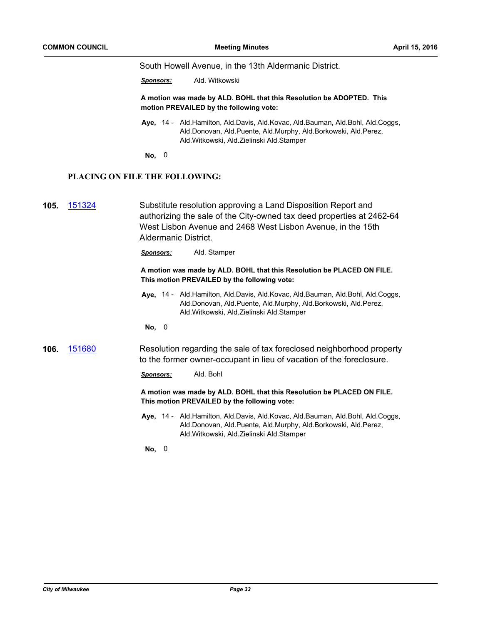South Howell Avenue, in the 13th Aldermanic District.

*Sponsors:* Ald. Witkowski

**A motion was made by ALD. BOHL that this Resolution be ADOPTED. This motion PREVAILED by the following vote:**

- **Aye,** Ald.Hamilton, Ald.Davis, Ald.Kovac, Ald.Bauman, Ald.Bohl, Ald.Coggs, 14 Ald.Donovan, Ald.Puente, Ald.Murphy, Ald.Borkowski, Ald.Perez, Ald.Witkowski, Ald.Zielinski Ald.Stamper
- **No,** 0

## **PLACING ON FILE THE FOLLOWING:**

**105.** [151324](http://milwaukee.legistar.com/gateway.aspx?m=l&id=/matter.aspx?key=42924) Substitute resolution approving a Land Disposition Report and authorizing the sale of the City-owned tax deed properties at 2462-64 West Lisbon Avenue and 2468 West Lisbon Avenue, in the 15th Aldermanic District.

*Sponsors:* Ald. Stamper

## **A motion was made by ALD. BOHL that this Resolution be PLACED ON FILE. This motion PREVAILED by the following vote:**

- Aye, 14 Ald.Hamilton, Ald.Davis, Ald.Kovac, Ald.Bauman, Ald.Bohl, Ald.Coggs, Ald.Donovan, Ald.Puente, Ald.Murphy, Ald.Borkowski, Ald.Perez, Ald.Witkowski, Ald.Zielinski Ald.Stamper
- **No,** 0

**106.** [151680](http://milwaukee.legistar.com/gateway.aspx?m=l&id=/matter.aspx?key=43371) Resolution regarding the sale of tax foreclosed neighborhood property to the former owner-occupant in lieu of vacation of the foreclosure.

*Sponsors:* Ald. Bohl

**A motion was made by ALD. BOHL that this Resolution be PLACED ON FILE. This motion PREVAILED by the following vote:**

Aye, 14 - Ald.Hamilton, Ald.Davis, Ald.Kovac, Ald.Bauman, Ald.Bohl, Ald.Coggs, Ald.Donovan, Ald.Puente, Ald.Murphy, Ald.Borkowski, Ald.Perez, Ald.Witkowski, Ald.Zielinski Ald.Stamper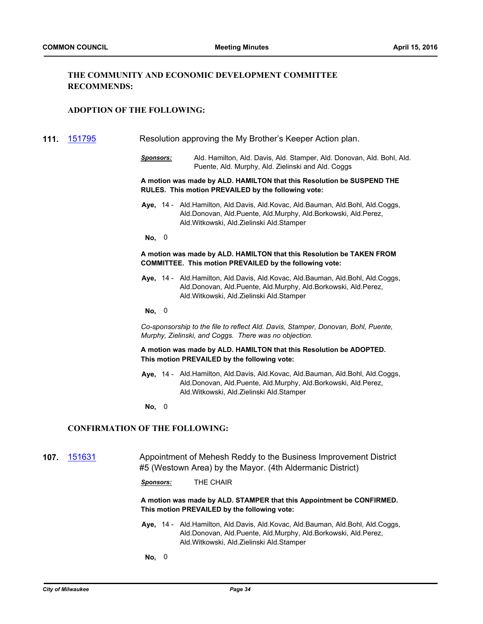## **THE COMMUNITY AND ECONOMIC DEVELOPMENT COMMITTEE RECOMMENDS:**

## **ADOPTION OF THE FOLLOWING:**

**111.** [151795](http://milwaukee.legistar.com/gateway.aspx?m=l&id=/matter.aspx?key=43507) Resolution approving the My Brother's Keeper Action plan.

*Sponsors:* Ald. Hamilton, Ald. Davis, Ald. Stamper, Ald. Donovan, Ald. Bohl, Ald. Puente, Ald. Murphy, Ald. Zielinski and Ald. Coggs

**A motion was made by ALD. HAMILTON that this Resolution be SUSPEND THE RULES. This motion PREVAILED by the following vote:**

**Aye,** Ald.Hamilton, Ald.Davis, Ald.Kovac, Ald.Bauman, Ald.Bohl, Ald.Coggs, 14 - Ald.Donovan, Ald.Puente, Ald.Murphy, Ald.Borkowski, Ald.Perez, Ald.Witkowski, Ald.Zielinski Ald.Stamper

**No,** 0

#### **A motion was made by ALD. HAMILTON that this Resolution be TAKEN FROM COMMITTEE. This motion PREVAILED by the following vote:**

Aye, 14 - Ald.Hamilton, Ald.Davis, Ald.Kovac, Ald.Bauman, Ald.Bohl, Ald.Coggs, Ald.Donovan, Ald.Puente, Ald.Murphy, Ald.Borkowski, Ald.Perez, Ald.Witkowski, Ald.Zielinski Ald.Stamper

**No,** 0

*Co-sponsorship to the file to reflect Ald. Davis, Stamper, Donovan, Bohl, Puente, Murphy, Zielinski, and Coggs. There was no objection.*

**A motion was made by ALD. HAMILTON that this Resolution be ADOPTED. This motion PREVAILED by the following vote:**

Aye, 14 - Ald.Hamilton, Ald.Davis, Ald.Kovac, Ald.Bauman, Ald.Bohl, Ald.Coggs, Ald.Donovan, Ald.Puente, Ald.Murphy, Ald.Borkowski, Ald.Perez, Ald.Witkowski, Ald.Zielinski Ald.Stamper

**No,** 0

## **CONFIRMATION OF THE FOLLOWING:**

**107.** [151631](http://milwaukee.legistar.com/gateway.aspx?m=l&id=/matter.aspx?key=43318) Appointment of Mehesh Reddy to the Business Improvement District #5 (Westown Area) by the Mayor. (4th Aldermanic District)

*Sponsors:* THE CHAIR

**A motion was made by ALD. STAMPER that this Appointment be CONFIRMED. This motion PREVAILED by the following vote:**

Aye, 14 - Ald.Hamilton, Ald.Davis, Ald.Kovac, Ald.Bauman, Ald.Bohl, Ald.Coggs, Ald.Donovan, Ald.Puente, Ald.Murphy, Ald.Borkowski, Ald.Perez, Ald.Witkowski, Ald.Zielinski Ald.Stamper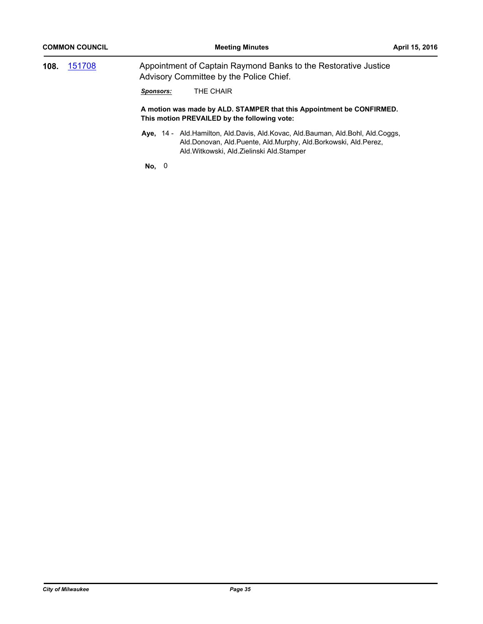| 108. | 151708 | Appointment of Captain Raymond Banks to the Restorative Justice<br>Advisory Committee by the Police Chief. |  |
|------|--------|------------------------------------------------------------------------------------------------------------|--|
|      |        | THE CHAIR<br>Sponsors:                                                                                     |  |

**A motion was made by ALD. STAMPER that this Appointment be CONFIRMED. This motion PREVAILED by the following vote:**

Aye, 14 - Ald.Hamilton, Ald.Davis, Ald.Kovac, Ald.Bauman, Ald.Bohl, Ald.Coggs, Ald.Donovan, Ald.Puente, Ald.Murphy, Ald.Borkowski, Ald.Perez, Ald.Witkowski, Ald.Zielinski Ald.Stamper